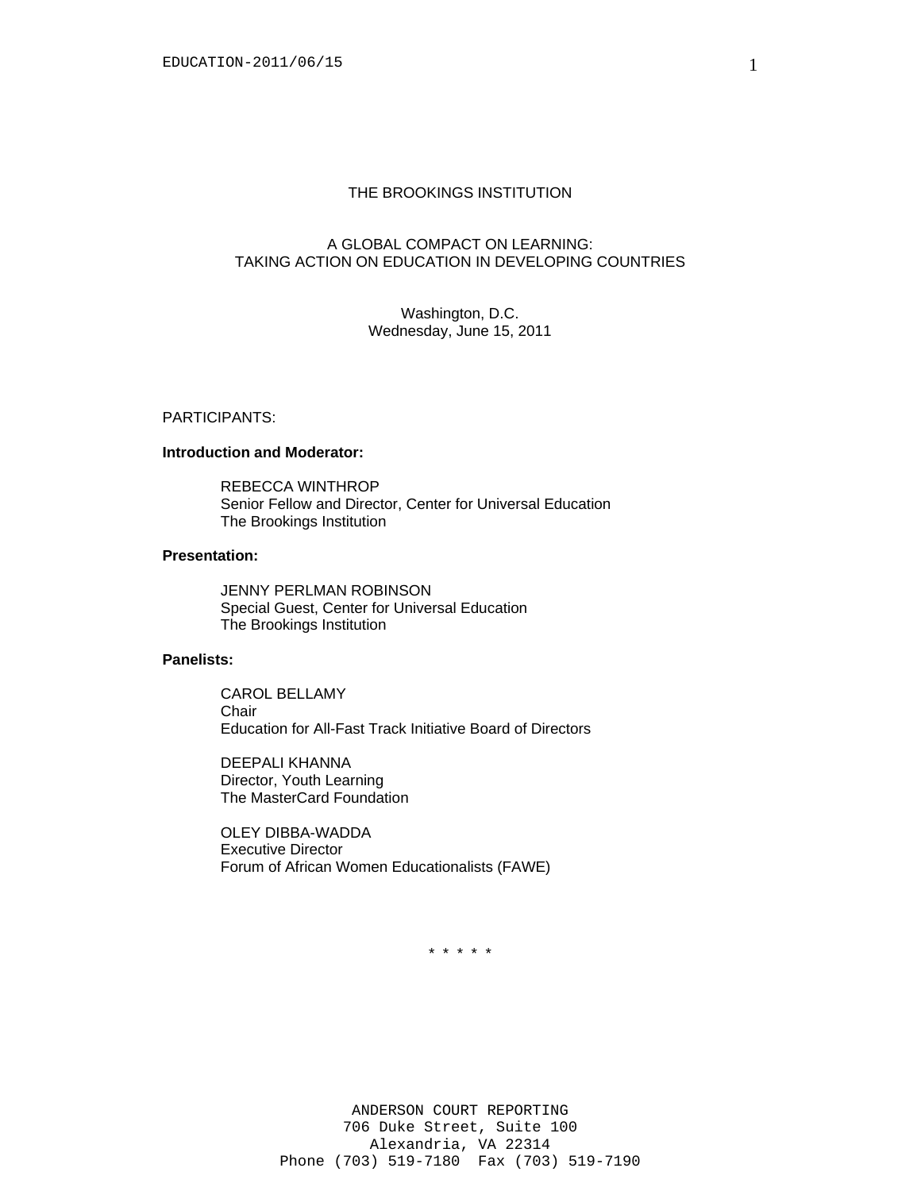# THE BROOKINGS INSTITUTION

# A GLOBAL COMPACT ON LEARNING: TAKING ACTION ON EDUCATION IN DEVELOPING COUNTRIES

Washington, D.C. Wednesday, June 15, 2011

### PARTICIPANTS:

#### **Introduction and Moderator:**

 REBECCA WINTHROP Senior Fellow and Director, Center for Universal Education The Brookings Institution

#### **Presentation:**

 JENNY PERLMAN ROBINSON Special Guest, Center for Universal Education The Brookings Institution

## **Panelists:**

 CAROL BELLAMY **Chair** Education for All-Fast Track Initiative Board of Directors

 DEEPALI KHANNA Director, Youth Learning The MasterCard Foundation

 OLEY DIBBA-WADDA Executive Director Forum of African Women Educationalists (FAWE)

\* \* \* \* \*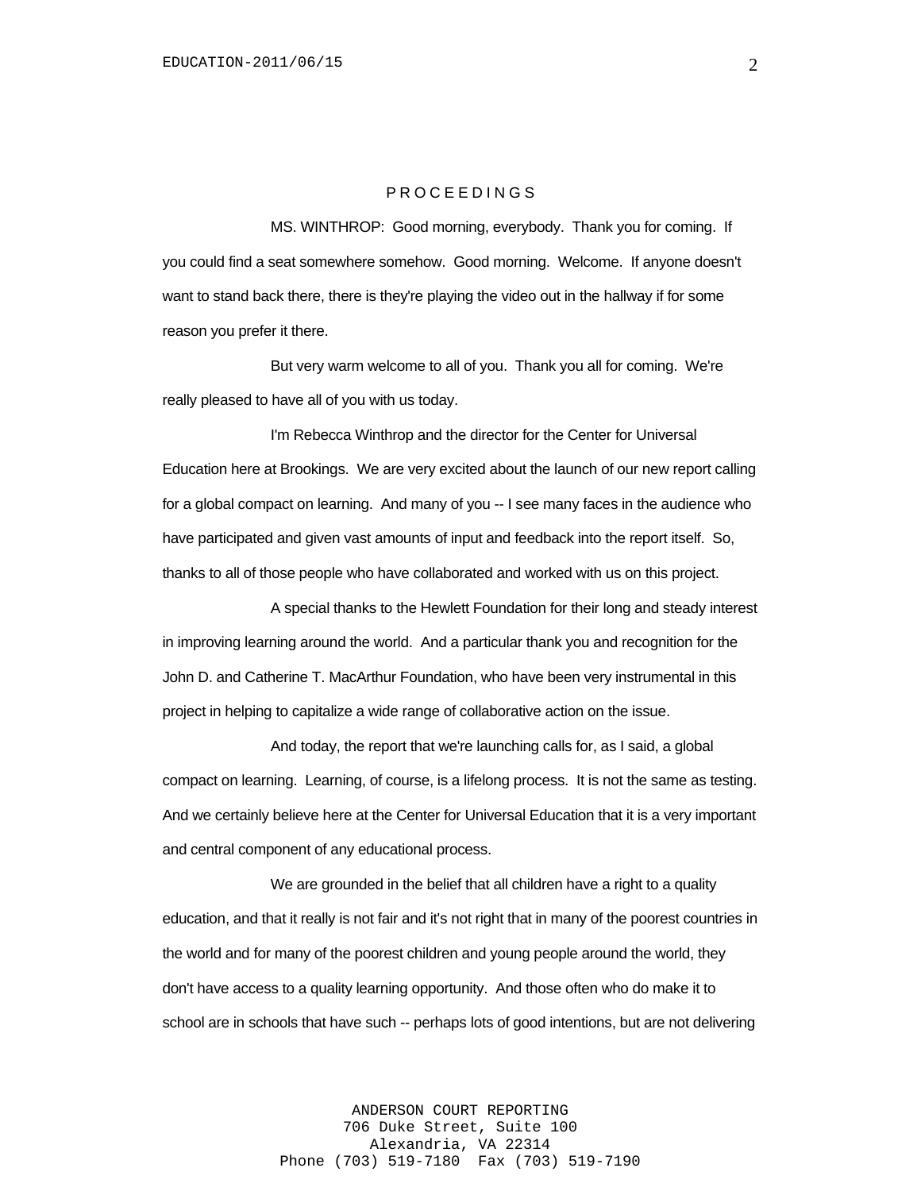## P R O C E E D I N G S

MS. WINTHROP: Good morning, everybody. Thank you for coming. If you could find a seat somewhere somehow. Good morning. Welcome. If anyone doesn't want to stand back there, there is they're playing the video out in the hallway if for some reason you prefer it there.

But very warm welcome to all of you. Thank you all for coming. We're really pleased to have all of you with us today.

I'm Rebecca Winthrop and the director for the Center for Universal Education here at Brookings. We are very excited about the launch of our new report calling for a global compact on learning. And many of you -- I see many faces in the audience who have participated and given vast amounts of input and feedback into the report itself. So, thanks to all of those people who have collaborated and worked with us on this project.

A special thanks to the Hewlett Foundation for their long and steady interest in improving learning around the world. And a particular thank you and recognition for the John D. and Catherine T. MacArthur Foundation, who have been very instrumental in this project in helping to capitalize a wide range of collaborative action on the issue.

And today, the report that we're launching calls for, as I said, a global compact on learning. Learning, of course, is a lifelong process. It is not the same as testing. And we certainly believe here at the Center for Universal Education that it is a very important and central component of any educational process.

We are grounded in the belief that all children have a right to a quality education, and that it really is not fair and it's not right that in many of the poorest countries in the world and for many of the poorest children and young people around the world, they don't have access to a quality learning opportunity. And those often who do make it to school are in schools that have such -- perhaps lots of good intentions, but are not delivering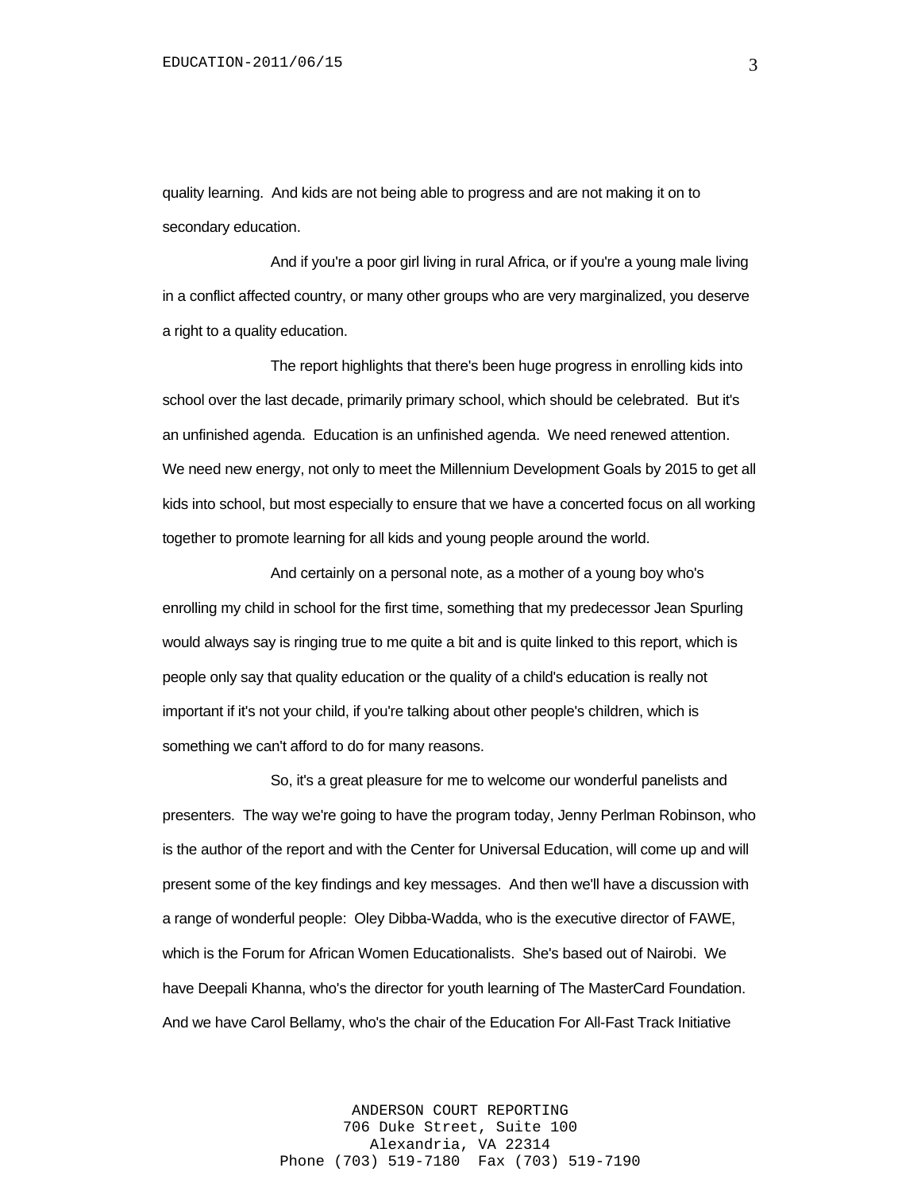quality learning. And kids are not being able to progress and are not making it on to secondary education.

And if you're a poor girl living in rural Africa, or if you're a young male living in a conflict affected country, or many other groups who are very marginalized, you deserve a right to a quality education.

The report highlights that there's been huge progress in enrolling kids into school over the last decade, primarily primary school, which should be celebrated. But it's an unfinished agenda. Education is an unfinished agenda. We need renewed attention. We need new energy, not only to meet the Millennium Development Goals by 2015 to get all kids into school, but most especially to ensure that we have a concerted focus on all working together to promote learning for all kids and young people around the world.

And certainly on a personal note, as a mother of a young boy who's enrolling my child in school for the first time, something that my predecessor Jean Spurling would always say is ringing true to me quite a bit and is quite linked to this report, which is people only say that quality education or the quality of a child's education is really not important if it's not your child, if you're talking about other people's children, which is something we can't afford to do for many reasons.

So, it's a great pleasure for me to welcome our wonderful panelists and presenters. The way we're going to have the program today, Jenny Perlman Robinson, who is the author of the report and with the Center for Universal Education, will come up and will present some of the key findings and key messages. And then we'll have a discussion with a range of wonderful people: Oley Dibba-Wadda, who is the executive director of FAWE, which is the Forum for African Women Educationalists. She's based out of Nairobi. We have Deepali Khanna, who's the director for youth learning of The MasterCard Foundation. And we have Carol Bellamy, who's the chair of the Education For All-Fast Track Initiative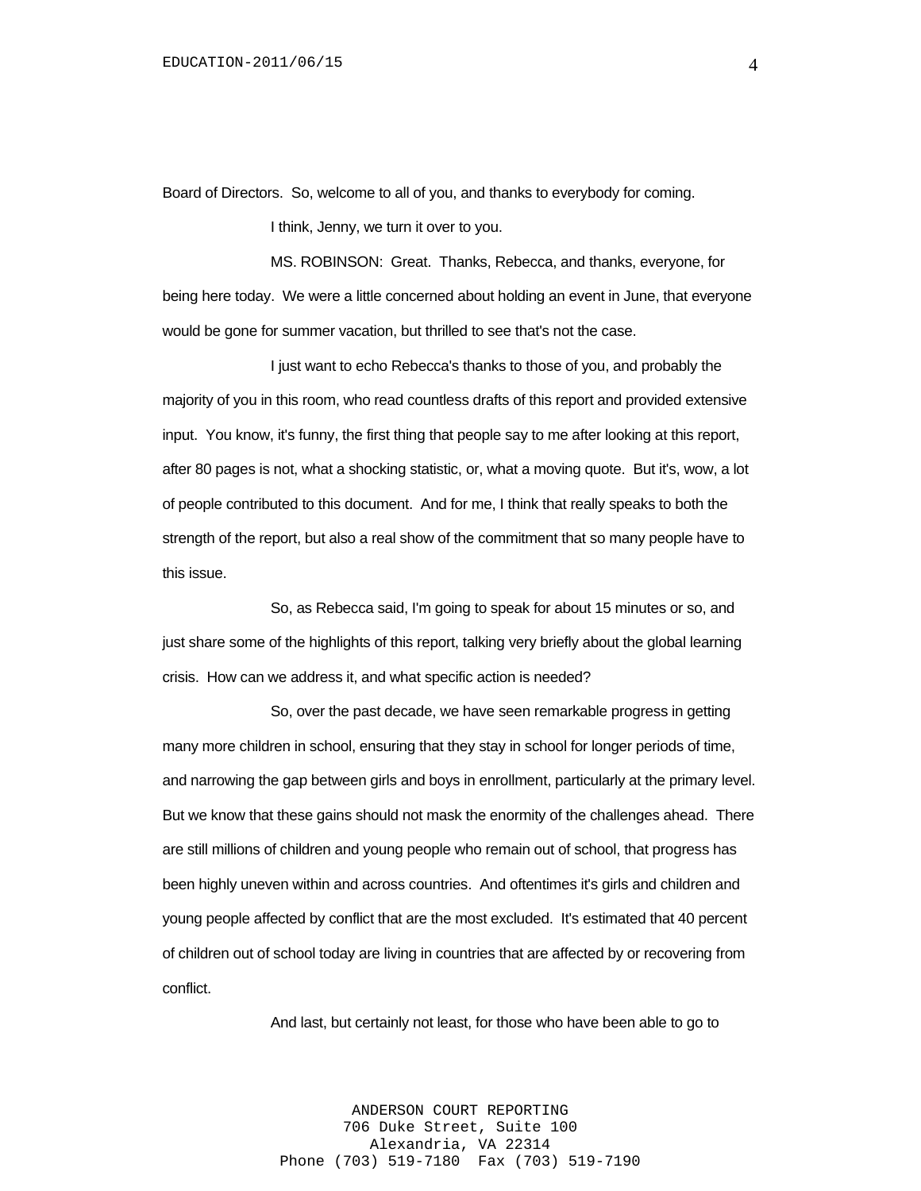Board of Directors. So, welcome to all of you, and thanks to everybody for coming.

I think, Jenny, we turn it over to you.

MS. ROBINSON: Great. Thanks, Rebecca, and thanks, everyone, for being here today. We were a little concerned about holding an event in June, that everyone would be gone for summer vacation, but thrilled to see that's not the case.

I just want to echo Rebecca's thanks to those of you, and probably the majority of you in this room, who read countless drafts of this report and provided extensive input. You know, it's funny, the first thing that people say to me after looking at this report, after 80 pages is not, what a shocking statistic, or, what a moving quote. But it's, wow, a lot of people contributed to this document. And for me, I think that really speaks to both the strength of the report, but also a real show of the commitment that so many people have to this issue.

So, as Rebecca said, I'm going to speak for about 15 minutes or so, and just share some of the highlights of this report, talking very briefly about the global learning crisis. How can we address it, and what specific action is needed?

So, over the past decade, we have seen remarkable progress in getting many more children in school, ensuring that they stay in school for longer periods of time, and narrowing the gap between girls and boys in enrollment, particularly at the primary level. But we know that these gains should not mask the enormity of the challenges ahead. There are still millions of children and young people who remain out of school, that progress has been highly uneven within and across countries. And oftentimes it's girls and children and young people affected by conflict that are the most excluded. It's estimated that 40 percent of children out of school today are living in countries that are affected by or recovering from conflict.

And last, but certainly not least, for those who have been able to go to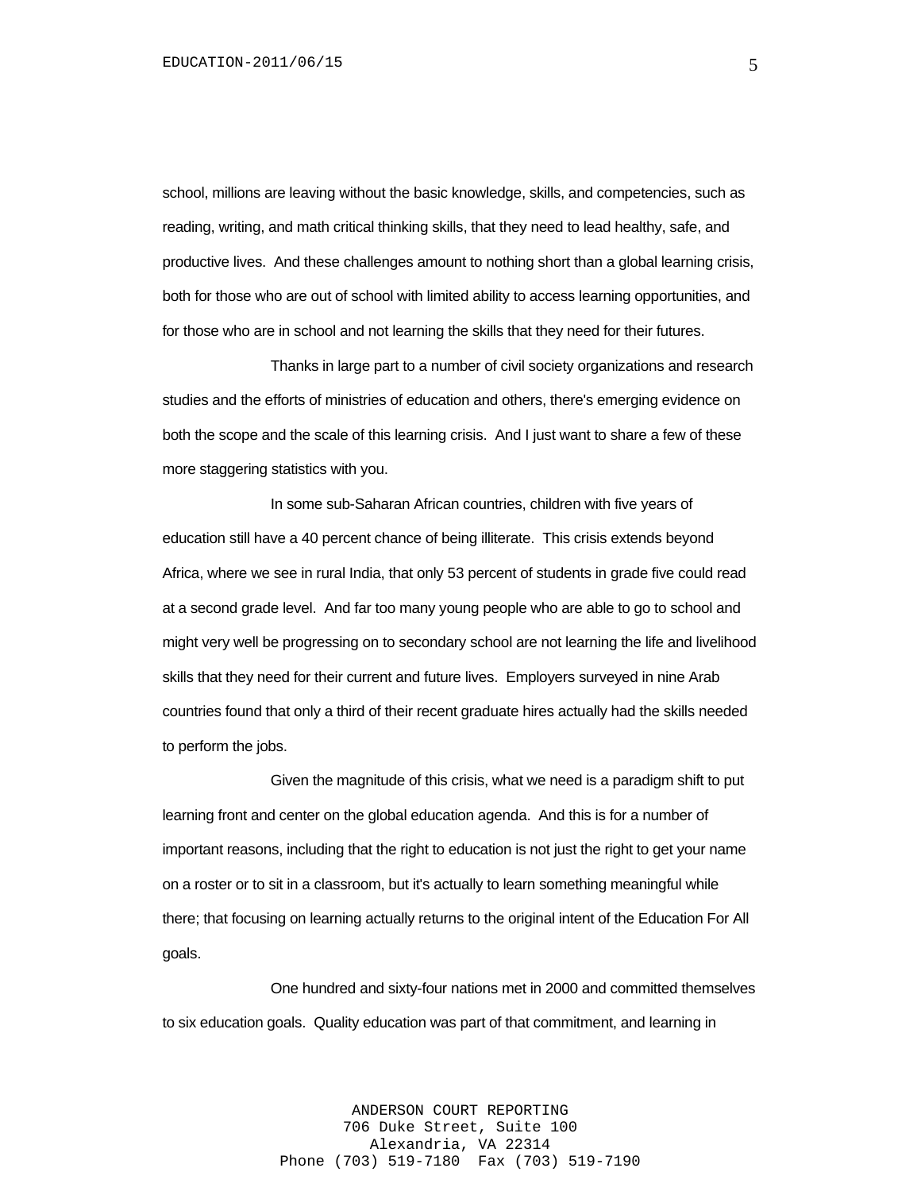school, millions are leaving without the basic knowledge, skills, and competencies, such as reading, writing, and math critical thinking skills, that they need to lead healthy, safe, and productive lives. And these challenges amount to nothing short than a global learning crisis, both for those who are out of school with limited ability to access learning opportunities, and for those who are in school and not learning the skills that they need for their futures.

Thanks in large part to a number of civil society organizations and research studies and the efforts of ministries of education and others, there's emerging evidence on both the scope and the scale of this learning crisis. And I just want to share a few of these more staggering statistics with you.

In some sub-Saharan African countries, children with five years of education still have a 40 percent chance of being illiterate. This crisis extends beyond Africa, where we see in rural India, that only 53 percent of students in grade five could read at a second grade level. And far too many young people who are able to go to school and might very well be progressing on to secondary school are not learning the life and livelihood skills that they need for their current and future lives. Employers surveyed in nine Arab countries found that only a third of their recent graduate hires actually had the skills needed to perform the jobs.

Given the magnitude of this crisis, what we need is a paradigm shift to put learning front and center on the global education agenda. And this is for a number of important reasons, including that the right to education is not just the right to get your name on a roster or to sit in a classroom, but it's actually to learn something meaningful while there; that focusing on learning actually returns to the original intent of the Education For All goals.

One hundred and sixty-four nations met in 2000 and committed themselves to six education goals. Quality education was part of that commitment, and learning in

> ANDERSON COURT REPORTING 706 Duke Street, Suite 100 Alexandria, VA 22314 Phone (703) 519-7180 Fax (703) 519-7190

5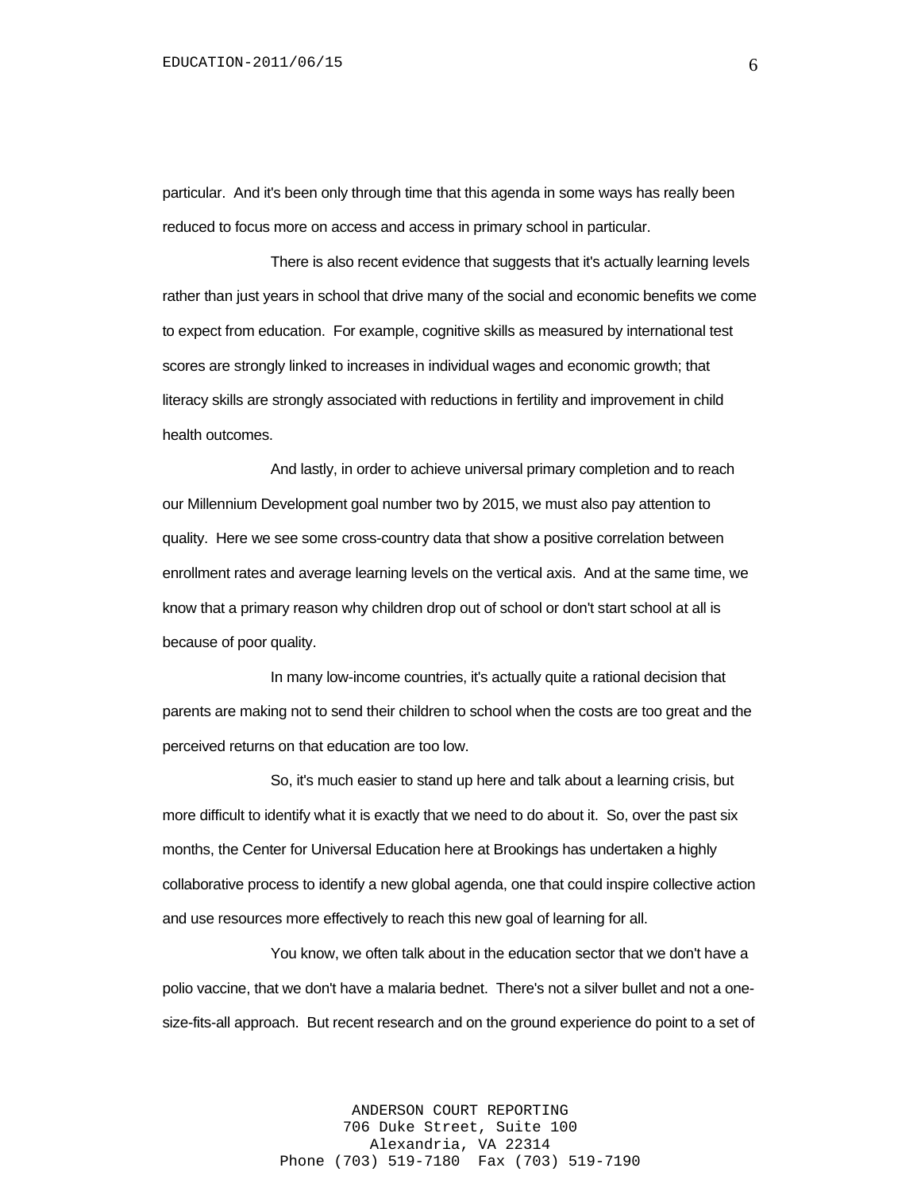particular. And it's been only through time that this agenda in some ways has really been reduced to focus more on access and access in primary school in particular.

There is also recent evidence that suggests that it's actually learning levels rather than just years in school that drive many of the social and economic benefits we come to expect from education. For example, cognitive skills as measured by international test scores are strongly linked to increases in individual wages and economic growth; that literacy skills are strongly associated with reductions in fertility and improvement in child health outcomes.

And lastly, in order to achieve universal primary completion and to reach our Millennium Development goal number two by 2015, we must also pay attention to quality. Here we see some cross-country data that show a positive correlation between enrollment rates and average learning levels on the vertical axis. And at the same time, we know that a primary reason why children drop out of school or don't start school at all is because of poor quality.

In many low-income countries, it's actually quite a rational decision that parents are making not to send their children to school when the costs are too great and the perceived returns on that education are too low.

So, it's much easier to stand up here and talk about a learning crisis, but more difficult to identify what it is exactly that we need to do about it. So, over the past six months, the Center for Universal Education here at Brookings has undertaken a highly collaborative process to identify a new global agenda, one that could inspire collective action and use resources more effectively to reach this new goal of learning for all.

You know, we often talk about in the education sector that we don't have a polio vaccine, that we don't have a malaria bednet. There's not a silver bullet and not a onesize-fits-all approach. But recent research and on the ground experience do point to a set of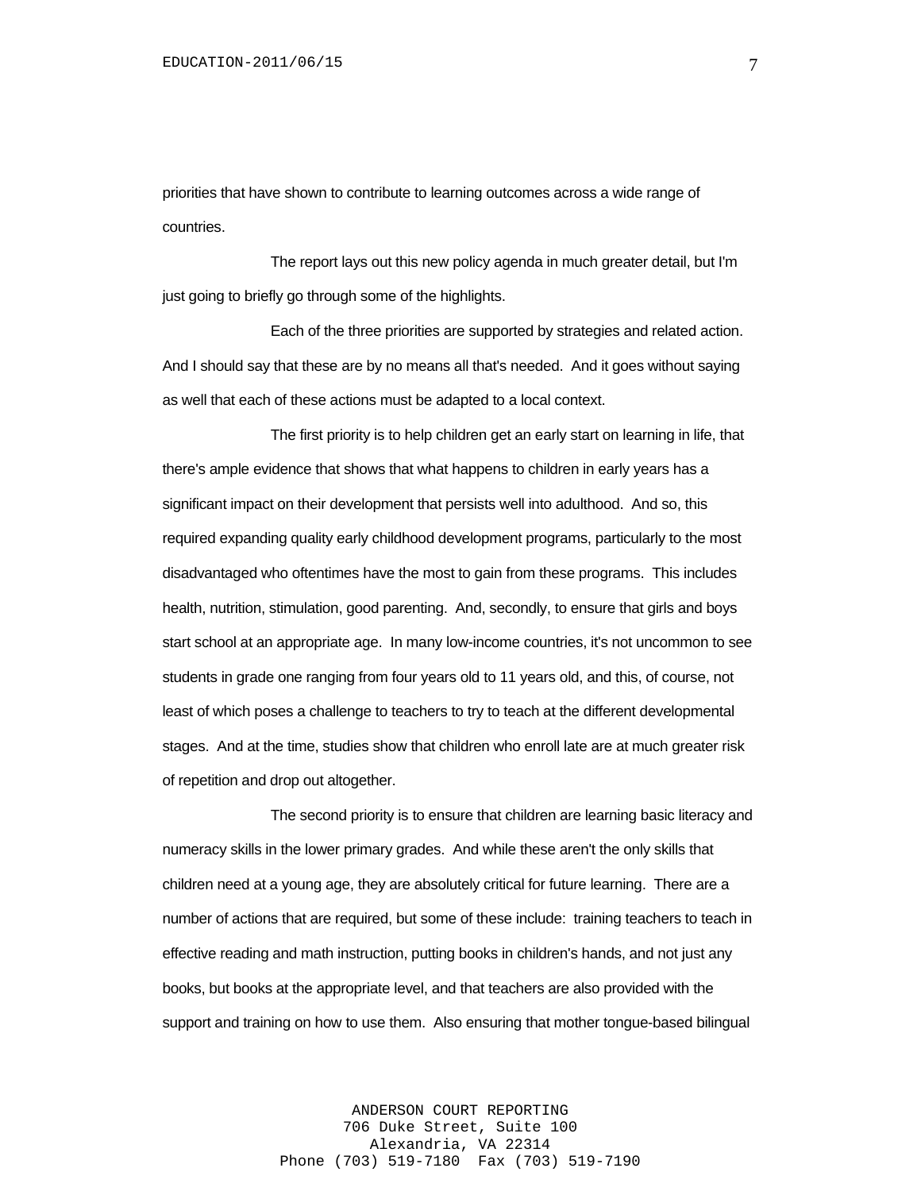priorities that have shown to contribute to learning outcomes across a wide range of countries.

The report lays out this new policy agenda in much greater detail, but I'm just going to briefly go through some of the highlights.

Each of the three priorities are supported by strategies and related action. And I should say that these are by no means all that's needed. And it goes without saying as well that each of these actions must be adapted to a local context.

The first priority is to help children get an early start on learning in life, that there's ample evidence that shows that what happens to children in early years has a significant impact on their development that persists well into adulthood. And so, this required expanding quality early childhood development programs, particularly to the most disadvantaged who oftentimes have the most to gain from these programs. This includes health, nutrition, stimulation, good parenting. And, secondly, to ensure that girls and boys start school at an appropriate age. In many low-income countries, it's not uncommon to see students in grade one ranging from four years old to 11 years old, and this, of course, not least of which poses a challenge to teachers to try to teach at the different developmental stages. And at the time, studies show that children who enroll late are at much greater risk of repetition and drop out altogether.

The second priority is to ensure that children are learning basic literacy and numeracy skills in the lower primary grades. And while these aren't the only skills that children need at a young age, they are absolutely critical for future learning. There are a number of actions that are required, but some of these include: training teachers to teach in effective reading and math instruction, putting books in children's hands, and not just any books, but books at the appropriate level, and that teachers are also provided with the support and training on how to use them. Also ensuring that mother tongue-based bilingual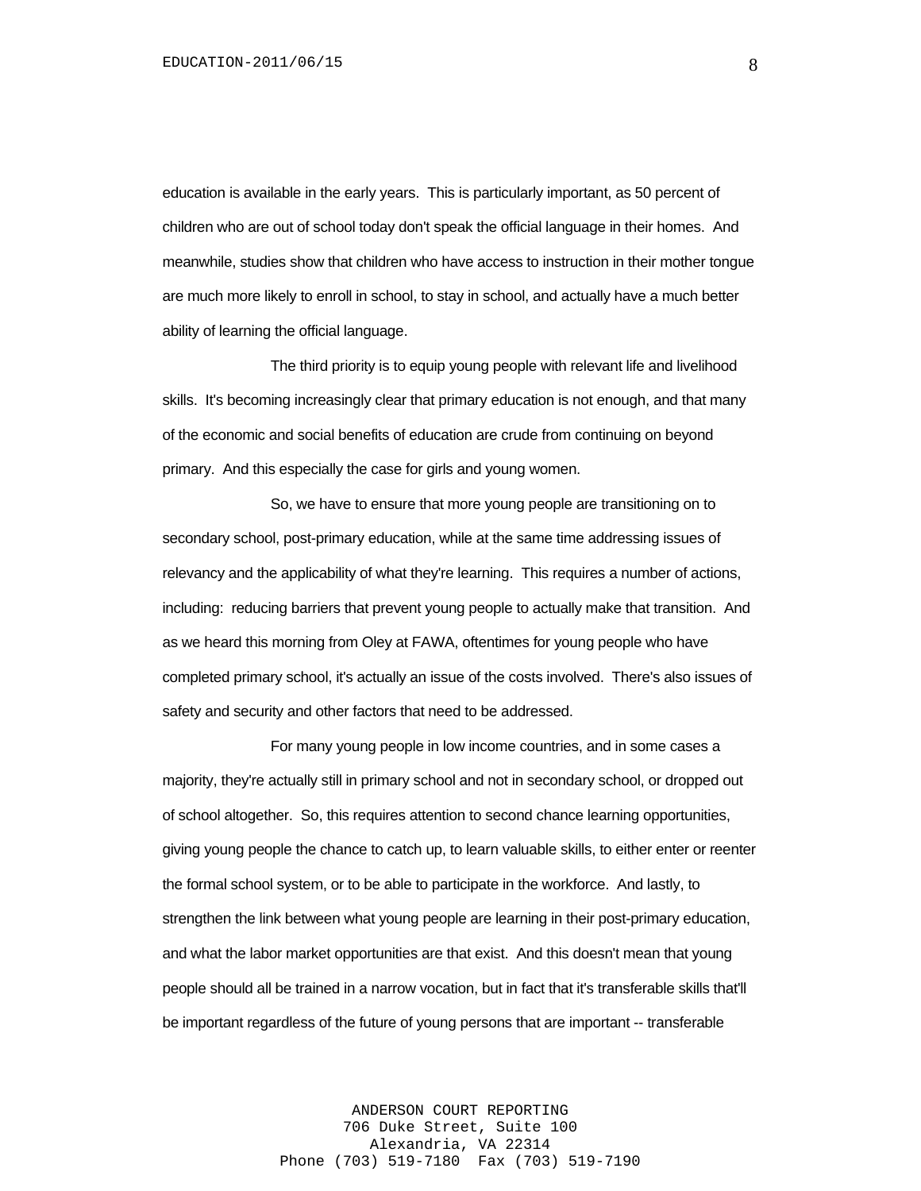education is available in the early years. This is particularly important, as 50 percent of children who are out of school today don't speak the official language in their homes. And meanwhile, studies show that children who have access to instruction in their mother tongue are much more likely to enroll in school, to stay in school, and actually have a much better ability of learning the official language.

The third priority is to equip young people with relevant life and livelihood skills. It's becoming increasingly clear that primary education is not enough, and that many of the economic and social benefits of education are crude from continuing on beyond primary. And this especially the case for girls and young women.

So, we have to ensure that more young people are transitioning on to secondary school, post-primary education, while at the same time addressing issues of relevancy and the applicability of what they're learning. This requires a number of actions, including: reducing barriers that prevent young people to actually make that transition. And as we heard this morning from Oley at FAWA, oftentimes for young people who have completed primary school, it's actually an issue of the costs involved. There's also issues of safety and security and other factors that need to be addressed.

For many young people in low income countries, and in some cases a majority, they're actually still in primary school and not in secondary school, or dropped out of school altogether. So, this requires attention to second chance learning opportunities, giving young people the chance to catch up, to learn valuable skills, to either enter or reenter the formal school system, or to be able to participate in the workforce. And lastly, to strengthen the link between what young people are learning in their post-primary education, and what the labor market opportunities are that exist. And this doesn't mean that young people should all be trained in a narrow vocation, but in fact that it's transferable skills that'll be important regardless of the future of young persons that are important -- transferable

> ANDERSON COURT REPORTING 706 Duke Street, Suite 100 Alexandria, VA 22314 Phone (703) 519-7180 Fax (703) 519-7190

8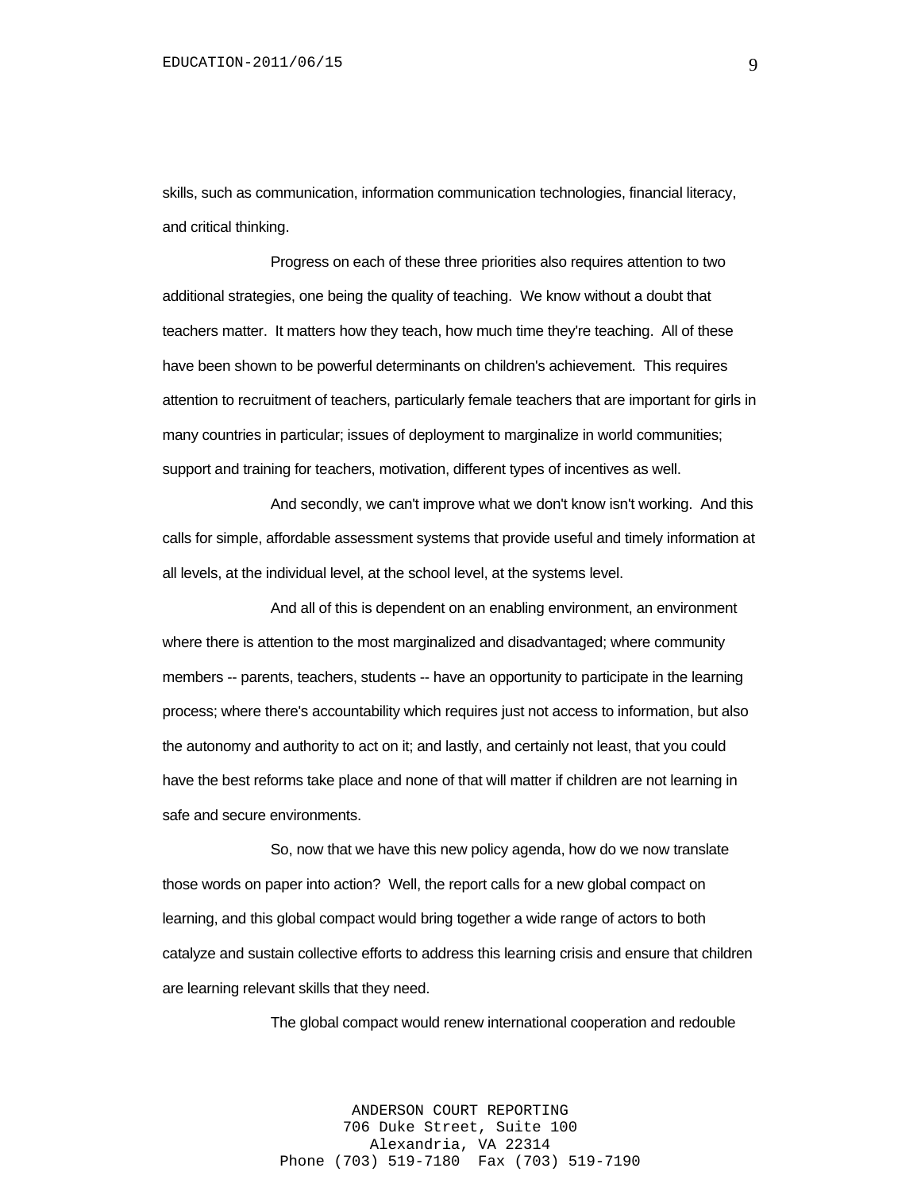skills, such as communication, information communication technologies, financial literacy, and critical thinking.

Progress on each of these three priorities also requires attention to two additional strategies, one being the quality of teaching. We know without a doubt that teachers matter. It matters how they teach, how much time they're teaching. All of these have been shown to be powerful determinants on children's achievement. This requires attention to recruitment of teachers, particularly female teachers that are important for girls in many countries in particular; issues of deployment to marginalize in world communities; support and training for teachers, motivation, different types of incentives as well.

And secondly, we can't improve what we don't know isn't working. And this calls for simple, affordable assessment systems that provide useful and timely information at all levels, at the individual level, at the school level, at the systems level.

And all of this is dependent on an enabling environment, an environment where there is attention to the most marginalized and disadvantaged; where community members -- parents, teachers, students -- have an opportunity to participate in the learning process; where there's accountability which requires just not access to information, but also the autonomy and authority to act on it; and lastly, and certainly not least, that you could have the best reforms take place and none of that will matter if children are not learning in safe and secure environments.

So, now that we have this new policy agenda, how do we now translate those words on paper into action? Well, the report calls for a new global compact on learning, and this global compact would bring together a wide range of actors to both catalyze and sustain collective efforts to address this learning crisis and ensure that children are learning relevant skills that they need.

The global compact would renew international cooperation and redouble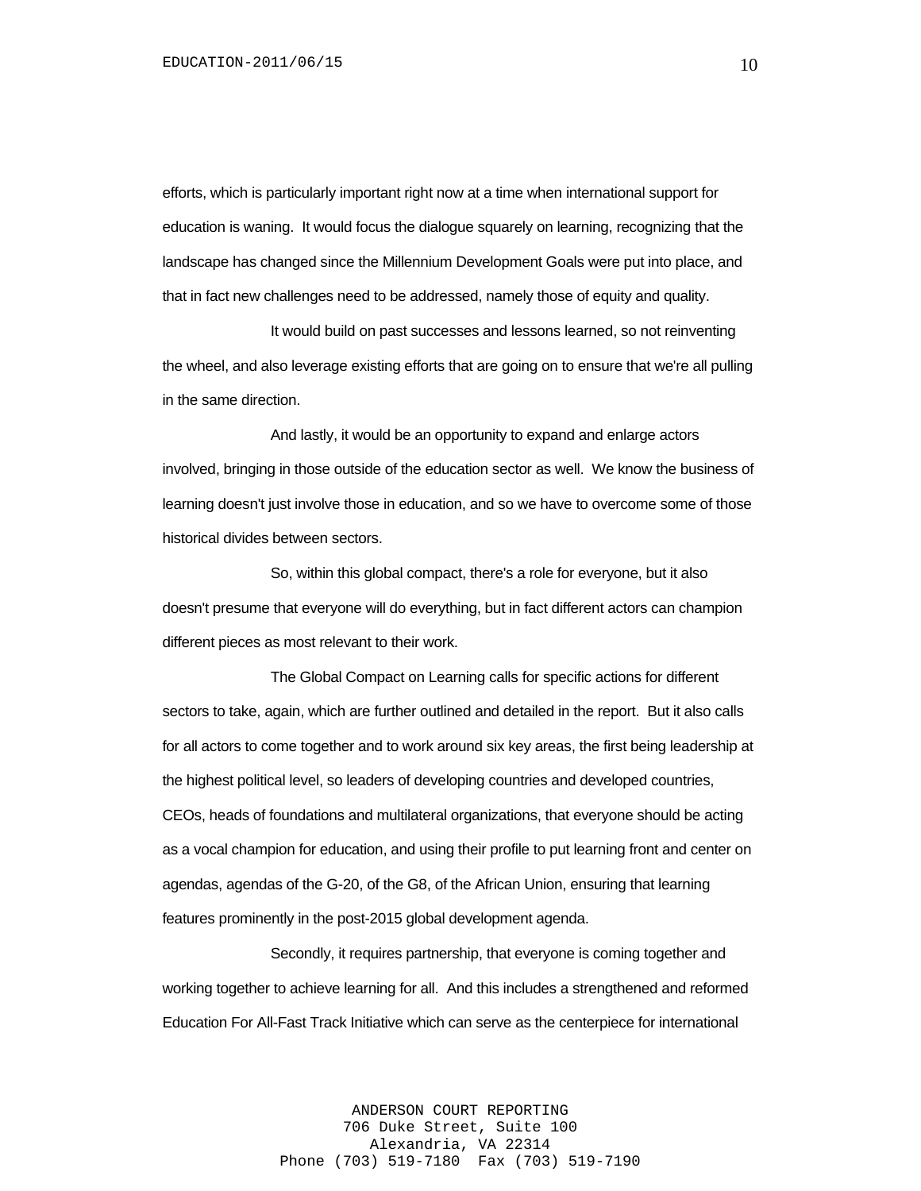efforts, which is particularly important right now at a time when international support for education is waning. It would focus the dialogue squarely on learning, recognizing that the landscape has changed since the Millennium Development Goals were put into place, and that in fact new challenges need to be addressed, namely those of equity and quality.

It would build on past successes and lessons learned, so not reinventing the wheel, and also leverage existing efforts that are going on to ensure that we're all pulling in the same direction.

And lastly, it would be an opportunity to expand and enlarge actors involved, bringing in those outside of the education sector as well. We know the business of learning doesn't just involve those in education, and so we have to overcome some of those historical divides between sectors.

So, within this global compact, there's a role for everyone, but it also doesn't presume that everyone will do everything, but in fact different actors can champion different pieces as most relevant to their work.

The Global Compact on Learning calls for specific actions for different sectors to take, again, which are further outlined and detailed in the report. But it also calls for all actors to come together and to work around six key areas, the first being leadership at the highest political level, so leaders of developing countries and developed countries, CEOs, heads of foundations and multilateral organizations, that everyone should be acting as a vocal champion for education, and using their profile to put learning front and center on agendas, agendas of the G-20, of the G8, of the African Union, ensuring that learning features prominently in the post-2015 global development agenda.

Secondly, it requires partnership, that everyone is coming together and working together to achieve learning for all. And this includes a strengthened and reformed Education For All-Fast Track Initiative which can serve as the centerpiece for international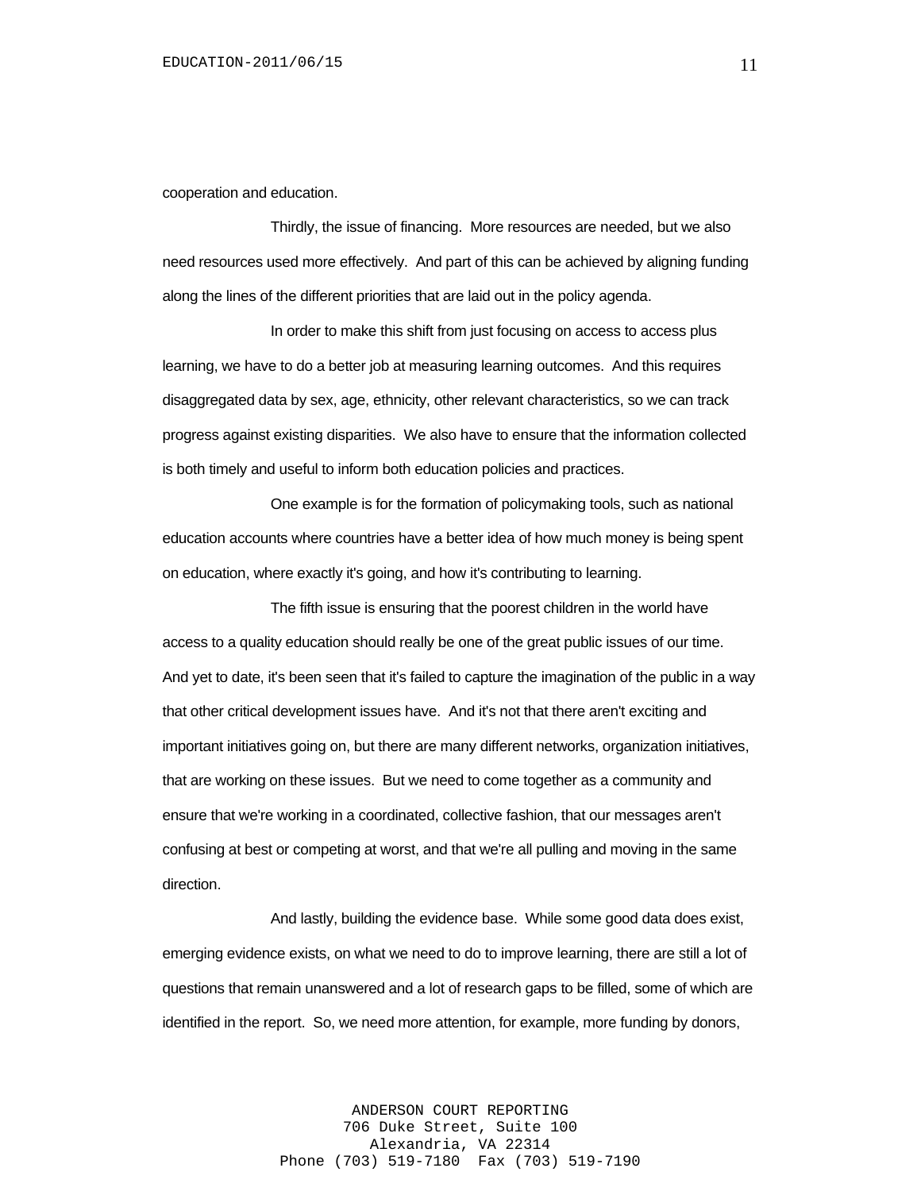cooperation and education.

Thirdly, the issue of financing. More resources are needed, but we also need resources used more effectively. And part of this can be achieved by aligning funding along the lines of the different priorities that are laid out in the policy agenda.

In order to make this shift from just focusing on access to access plus learning, we have to do a better job at measuring learning outcomes. And this requires disaggregated data by sex, age, ethnicity, other relevant characteristics, so we can track progress against existing disparities. We also have to ensure that the information collected is both timely and useful to inform both education policies and practices.

One example is for the formation of policymaking tools, such as national education accounts where countries have a better idea of how much money is being spent on education, where exactly it's going, and how it's contributing to learning.

The fifth issue is ensuring that the poorest children in the world have access to a quality education should really be one of the great public issues of our time. And yet to date, it's been seen that it's failed to capture the imagination of the public in a way that other critical development issues have. And it's not that there aren't exciting and important initiatives going on, but there are many different networks, organization initiatives, that are working on these issues. But we need to come together as a community and ensure that we're working in a coordinated, collective fashion, that our messages aren't confusing at best or competing at worst, and that we're all pulling and moving in the same direction.

And lastly, building the evidence base. While some good data does exist, emerging evidence exists, on what we need to do to improve learning, there are still a lot of questions that remain unanswered and a lot of research gaps to be filled, some of which are identified in the report. So, we need more attention, for example, more funding by donors,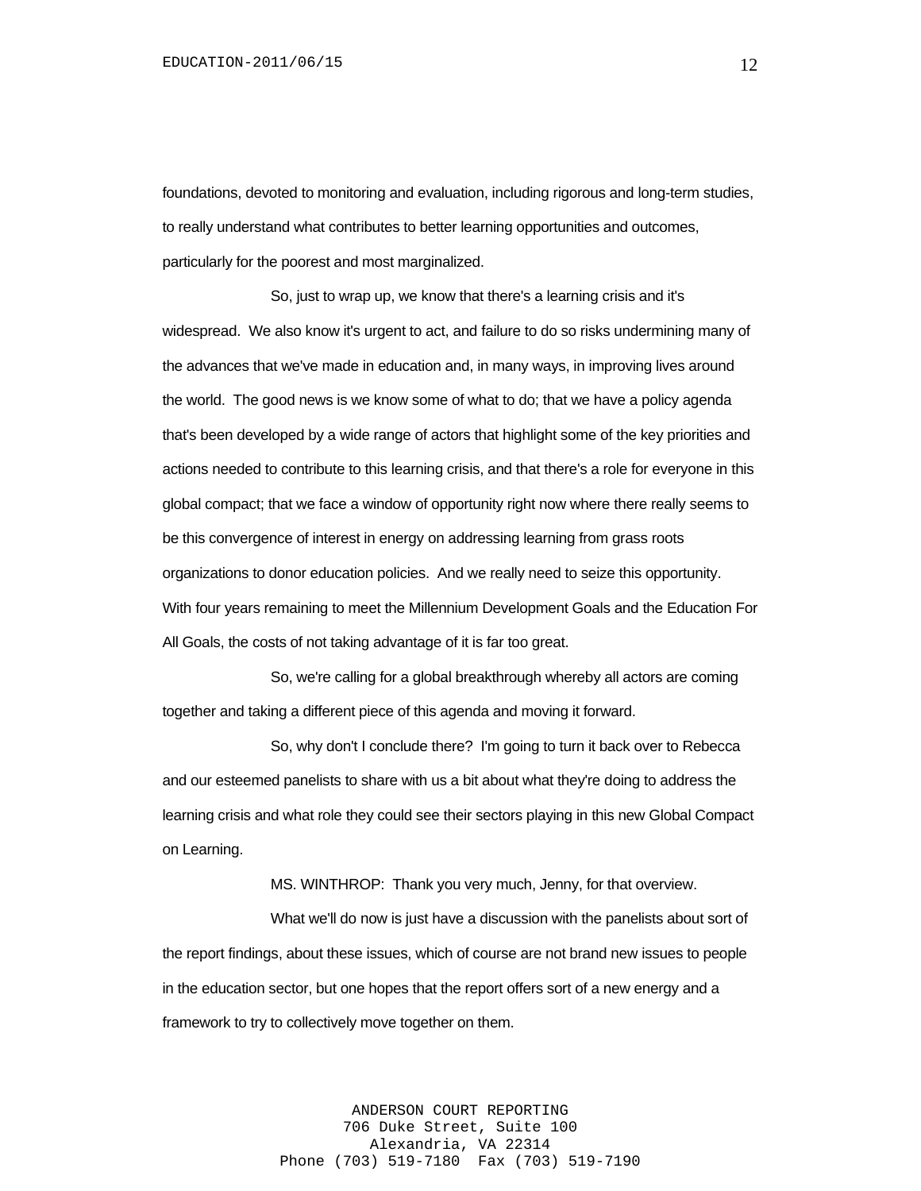foundations, devoted to monitoring and evaluation, including rigorous and long-term studies, to really understand what contributes to better learning opportunities and outcomes, particularly for the poorest and most marginalized.

So, just to wrap up, we know that there's a learning crisis and it's widespread. We also know it's urgent to act, and failure to do so risks undermining many of the advances that we've made in education and, in many ways, in improving lives around the world. The good news is we know some of what to do; that we have a policy agenda that's been developed by a wide range of actors that highlight some of the key priorities and actions needed to contribute to this learning crisis, and that there's a role for everyone in this global compact; that we face a window of opportunity right now where there really seems to be this convergence of interest in energy on addressing learning from grass roots organizations to donor education policies. And we really need to seize this opportunity. With four years remaining to meet the Millennium Development Goals and the Education For All Goals, the costs of not taking advantage of it is far too great.

So, we're calling for a global breakthrough whereby all actors are coming together and taking a different piece of this agenda and moving it forward.

So, why don't I conclude there? I'm going to turn it back over to Rebecca and our esteemed panelists to share with us a bit about what they're doing to address the learning crisis and what role they could see their sectors playing in this new Global Compact on Learning.

MS. WINTHROP: Thank you very much, Jenny, for that overview.

What we'll do now is just have a discussion with the panelists about sort of the report findings, about these issues, which of course are not brand new issues to people in the education sector, but one hopes that the report offers sort of a new energy and a framework to try to collectively move together on them.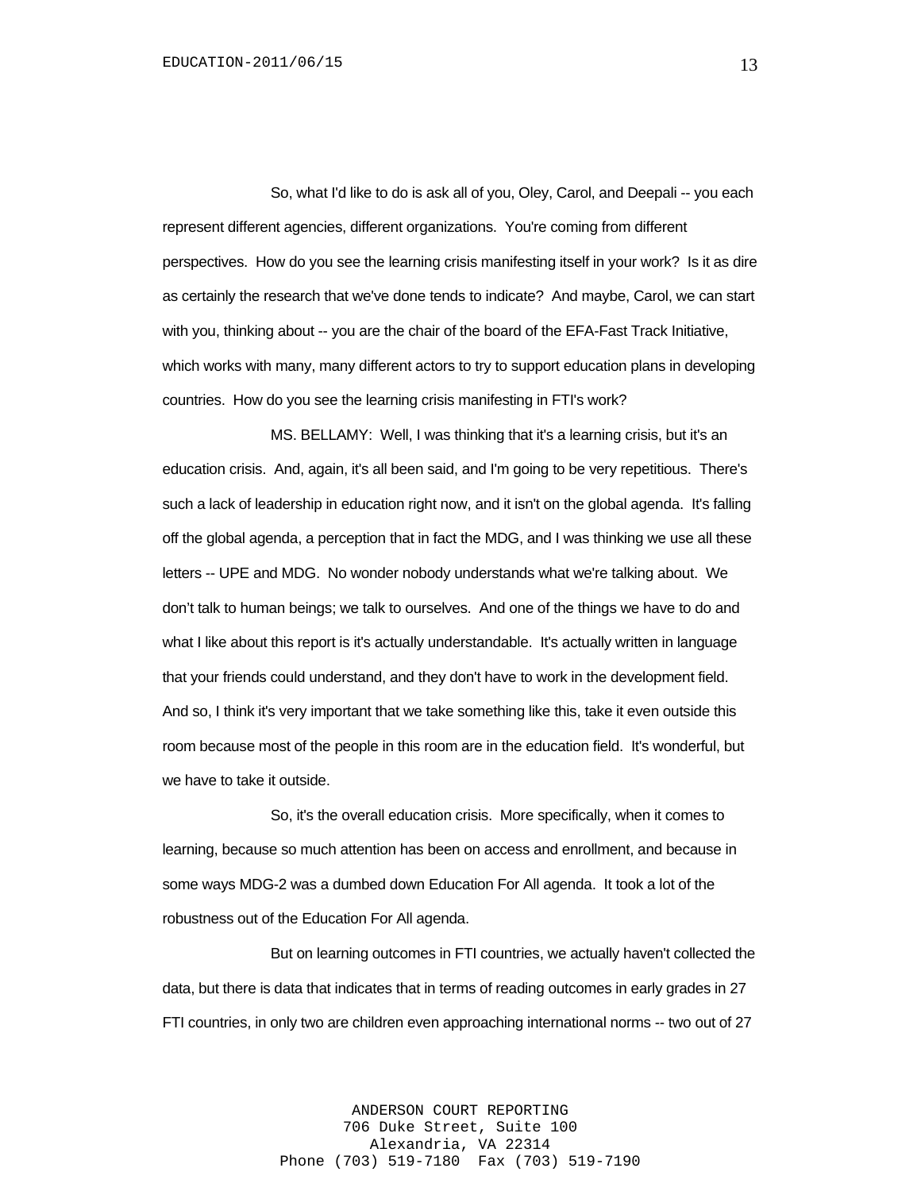So, what I'd like to do is ask all of you, Oley, Carol, and Deepali -- you each represent different agencies, different organizations. You're coming from different perspectives. How do you see the learning crisis manifesting itself in your work? Is it as dire as certainly the research that we've done tends to indicate? And maybe, Carol, we can start with you, thinking about -- you are the chair of the board of the EFA-Fast Track Initiative, which works with many, many different actors to try to support education plans in developing countries. How do you see the learning crisis manifesting in FTI's work?

MS. BELLAMY: Well, I was thinking that it's a learning crisis, but it's an education crisis. And, again, it's all been said, and I'm going to be very repetitious. There's such a lack of leadership in education right now, and it isn't on the global agenda. It's falling off the global agenda, a perception that in fact the MDG, and I was thinking we use all these letters -- UPE and MDG. No wonder nobody understands what we're talking about. We don't talk to human beings; we talk to ourselves. And one of the things we have to do and what I like about this report is it's actually understandable. It's actually written in language that your friends could understand, and they don't have to work in the development field. And so, I think it's very important that we take something like this, take it even outside this room because most of the people in this room are in the education field. It's wonderful, but we have to take it outside.

So, it's the overall education crisis. More specifically, when it comes to learning, because so much attention has been on access and enrollment, and because in some ways MDG-2 was a dumbed down Education For All agenda. It took a lot of the robustness out of the Education For All agenda.

But on learning outcomes in FTI countries, we actually haven't collected the data, but there is data that indicates that in terms of reading outcomes in early grades in 27 FTI countries, in only two are children even approaching international norms -- two out of 27

> ANDERSON COURT REPORTING 706 Duke Street, Suite 100 Alexandria, VA 22314 Phone (703) 519-7180 Fax (703) 519-7190

13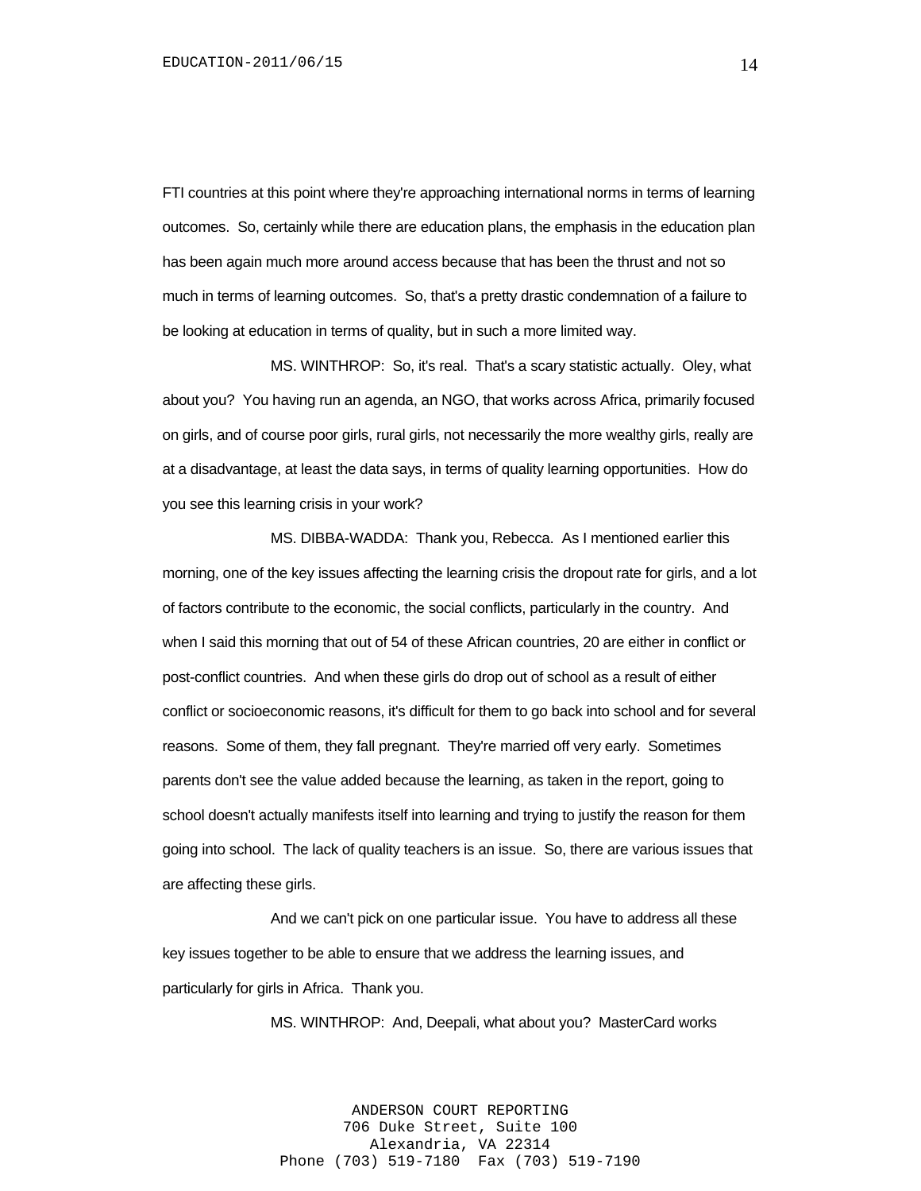FTI countries at this point where they're approaching international norms in terms of learning outcomes. So, certainly while there are education plans, the emphasis in the education plan has been again much more around access because that has been the thrust and not so much in terms of learning outcomes. So, that's a pretty drastic condemnation of a failure to be looking at education in terms of quality, but in such a more limited way.

MS. WINTHROP: So, it's real. That's a scary statistic actually. Oley, what about you? You having run an agenda, an NGO, that works across Africa, primarily focused on girls, and of course poor girls, rural girls, not necessarily the more wealthy girls, really are at a disadvantage, at least the data says, in terms of quality learning opportunities. How do you see this learning crisis in your work?

MS. DIBBA-WADDA: Thank you, Rebecca. As I mentioned earlier this morning, one of the key issues affecting the learning crisis the dropout rate for girls, and a lot of factors contribute to the economic, the social conflicts, particularly in the country. And when I said this morning that out of 54 of these African countries, 20 are either in conflict or post-conflict countries. And when these girls do drop out of school as a result of either conflict or socioeconomic reasons, it's difficult for them to go back into school and for several reasons. Some of them, they fall pregnant. They're married off very early. Sometimes parents don't see the value added because the learning, as taken in the report, going to school doesn't actually manifests itself into learning and trying to justify the reason for them going into school. The lack of quality teachers is an issue. So, there are various issues that are affecting these girls.

And we can't pick on one particular issue. You have to address all these key issues together to be able to ensure that we address the learning issues, and particularly for girls in Africa. Thank you.

MS. WINTHROP: And, Deepali, what about you? MasterCard works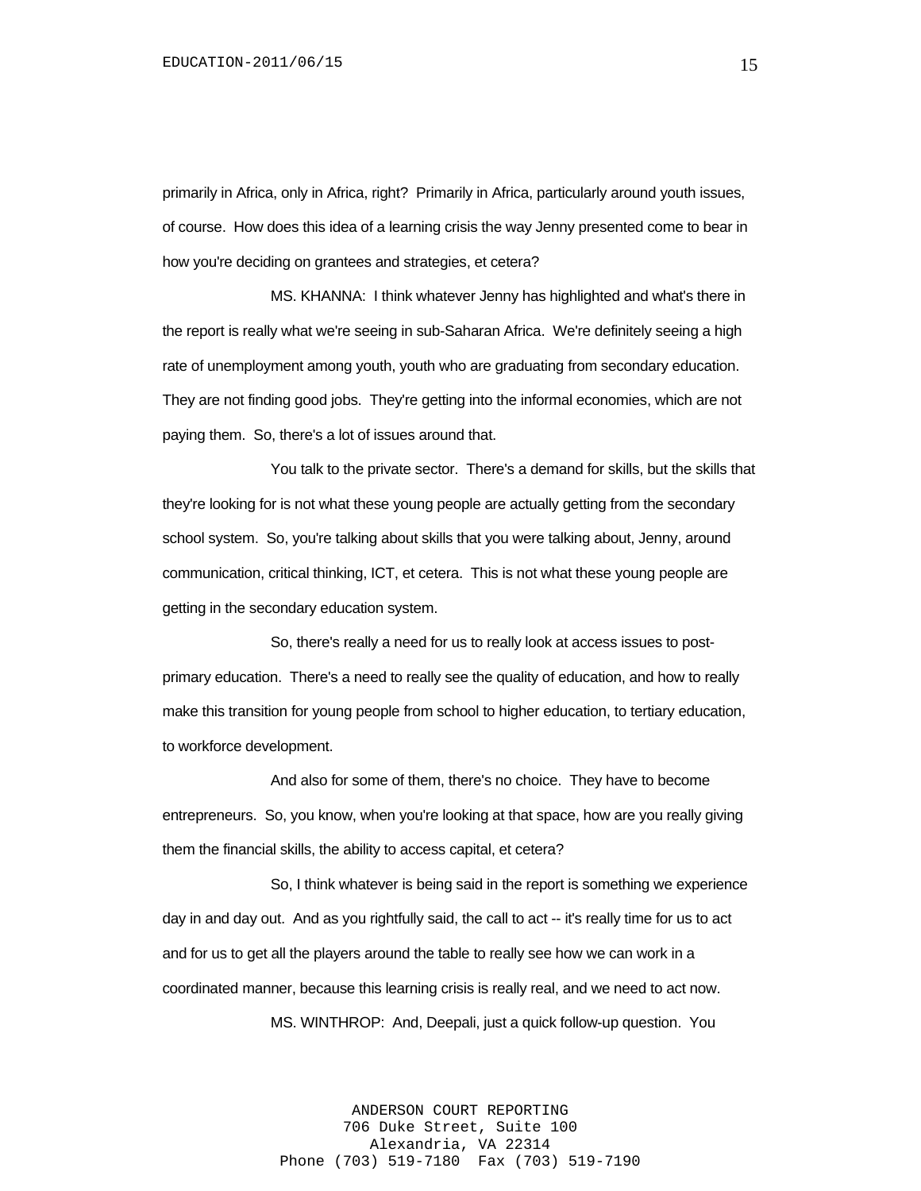primarily in Africa, only in Africa, right? Primarily in Africa, particularly around youth issues, of course. How does this idea of a learning crisis the way Jenny presented come to bear in how you're deciding on grantees and strategies, et cetera?

MS. KHANNA: I think whatever Jenny has highlighted and what's there in the report is really what we're seeing in sub-Saharan Africa. We're definitely seeing a high rate of unemployment among youth, youth who are graduating from secondary education. They are not finding good jobs. They're getting into the informal economies, which are not paying them. So, there's a lot of issues around that.

You talk to the private sector. There's a demand for skills, but the skills that they're looking for is not what these young people are actually getting from the secondary school system. So, you're talking about skills that you were talking about, Jenny, around communication, critical thinking, ICT, et cetera. This is not what these young people are getting in the secondary education system.

So, there's really a need for us to really look at access issues to postprimary education. There's a need to really see the quality of education, and how to really make this transition for young people from school to higher education, to tertiary education, to workforce development.

And also for some of them, there's no choice. They have to become entrepreneurs. So, you know, when you're looking at that space, how are you really giving them the financial skills, the ability to access capital, et cetera?

So, I think whatever is being said in the report is something we experience day in and day out. And as you rightfully said, the call to act -- it's really time for us to act and for us to get all the players around the table to really see how we can work in a coordinated manner, because this learning crisis is really real, and we need to act now. MS. WINTHROP: And, Deepali, just a quick follow-up question. You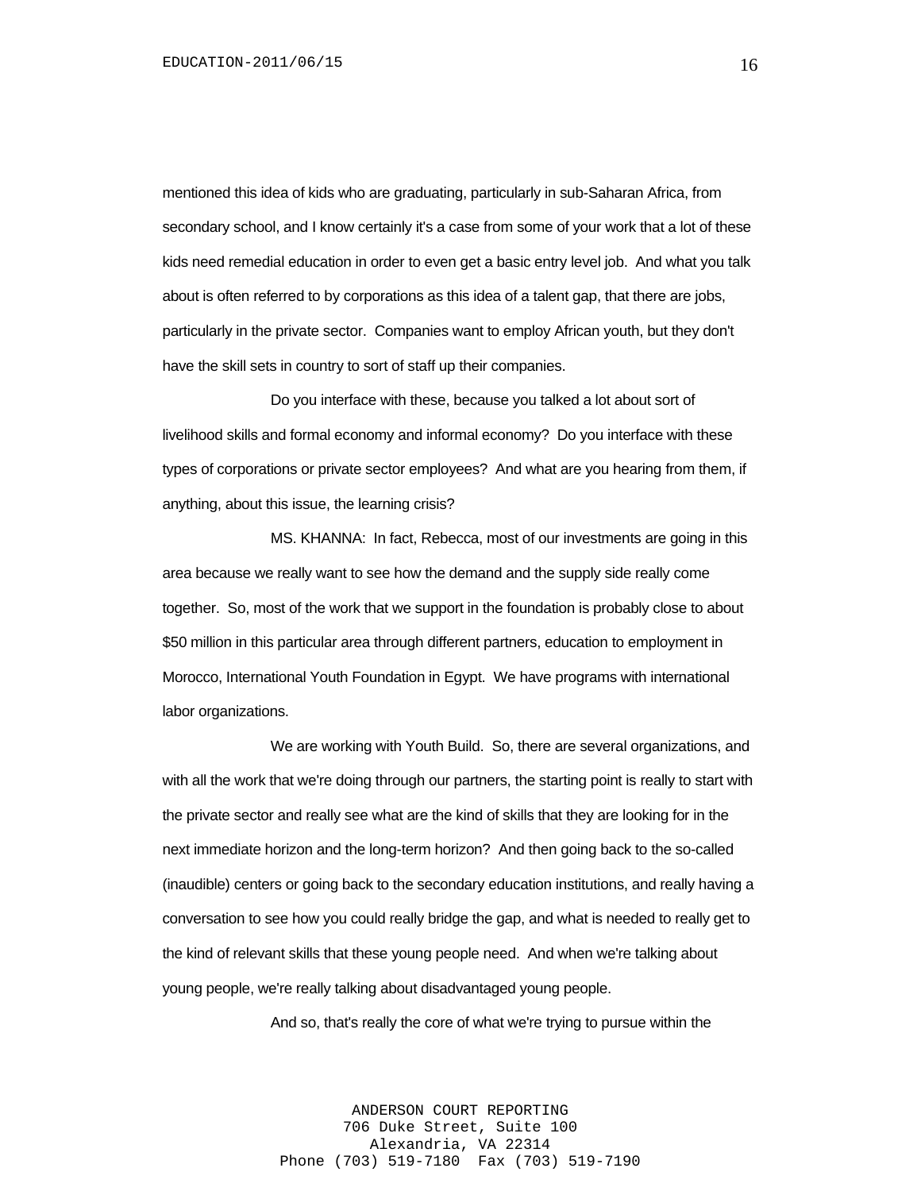mentioned this idea of kids who are graduating, particularly in sub-Saharan Africa, from secondary school, and I know certainly it's a case from some of your work that a lot of these kids need remedial education in order to even get a basic entry level job. And what you talk about is often referred to by corporations as this idea of a talent gap, that there are jobs, particularly in the private sector. Companies want to employ African youth, but they don't have the skill sets in country to sort of staff up their companies.

Do you interface with these, because you talked a lot about sort of livelihood skills and formal economy and informal economy? Do you interface with these types of corporations or private sector employees? And what are you hearing from them, if anything, about this issue, the learning crisis?

MS. KHANNA: In fact, Rebecca, most of our investments are going in this area because we really want to see how the demand and the supply side really come together. So, most of the work that we support in the foundation is probably close to about \$50 million in this particular area through different partners, education to employment in Morocco, International Youth Foundation in Egypt. We have programs with international labor organizations.

We are working with Youth Build. So, there are several organizations, and with all the work that we're doing through our partners, the starting point is really to start with the private sector and really see what are the kind of skills that they are looking for in the next immediate horizon and the long-term horizon? And then going back to the so-called (inaudible) centers or going back to the secondary education institutions, and really having a conversation to see how you could really bridge the gap, and what is needed to really get to the kind of relevant skills that these young people need. And when we're talking about young people, we're really talking about disadvantaged young people.

And so, that's really the core of what we're trying to pursue within the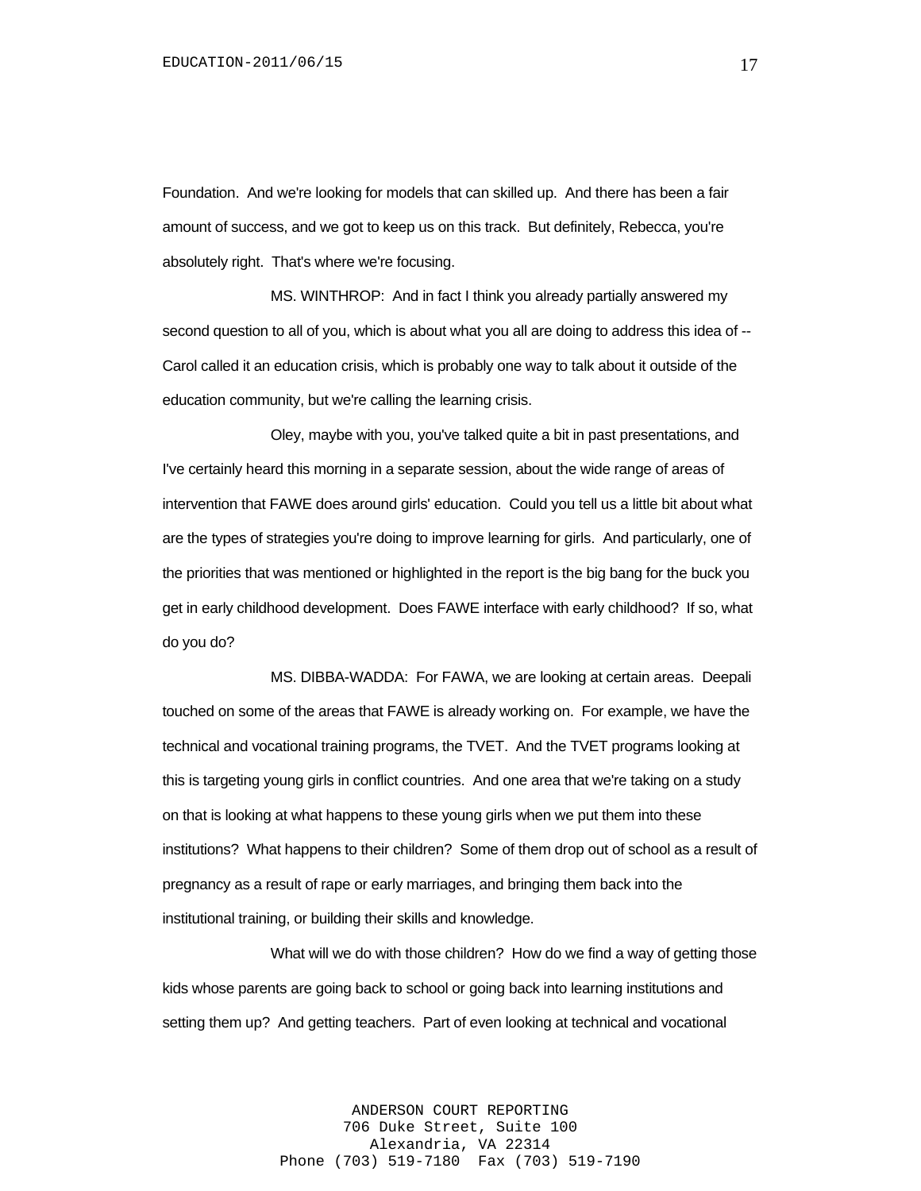Foundation. And we're looking for models that can skilled up. And there has been a fair amount of success, and we got to keep us on this track. But definitely, Rebecca, you're absolutely right. That's where we're focusing.

MS. WINTHROP: And in fact I think you already partially answered my second question to all of you, which is about what you all are doing to address this idea of -- Carol called it an education crisis, which is probably one way to talk about it outside of the education community, but we're calling the learning crisis.

Oley, maybe with you, you've talked quite a bit in past presentations, and I've certainly heard this morning in a separate session, about the wide range of areas of intervention that FAWE does around girls' education. Could you tell us a little bit about what are the types of strategies you're doing to improve learning for girls. And particularly, one of the priorities that was mentioned or highlighted in the report is the big bang for the buck you get in early childhood development. Does FAWE interface with early childhood? If so, what do you do?

MS. DIBBA-WADDA: For FAWA, we are looking at certain areas. Deepali touched on some of the areas that FAWE is already working on. For example, we have the technical and vocational training programs, the TVET. And the TVET programs looking at this is targeting young girls in conflict countries. And one area that we're taking on a study on that is looking at what happens to these young girls when we put them into these institutions? What happens to their children? Some of them drop out of school as a result of pregnancy as a result of rape or early marriages, and bringing them back into the institutional training, or building their skills and knowledge.

What will we do with those children? How do we find a way of getting those kids whose parents are going back to school or going back into learning institutions and setting them up? And getting teachers. Part of even looking at technical and vocational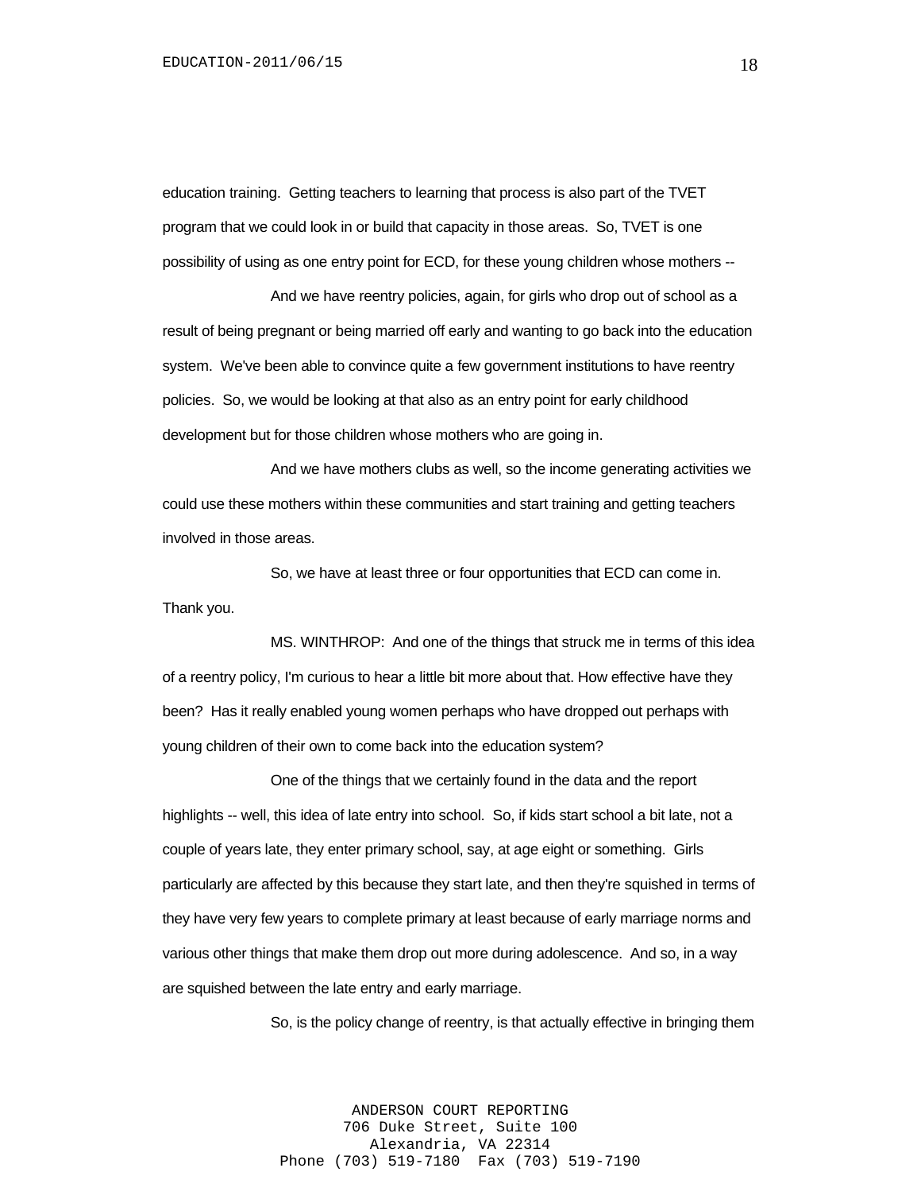education training. Getting teachers to learning that process is also part of the TVET program that we could look in or build that capacity in those areas. So, TVET is one possibility of using as one entry point for ECD, for these young children whose mothers --

And we have reentry policies, again, for girls who drop out of school as a result of being pregnant or being married off early and wanting to go back into the education system. We've been able to convince quite a few government institutions to have reentry policies. So, we would be looking at that also as an entry point for early childhood development but for those children whose mothers who are going in.

And we have mothers clubs as well, so the income generating activities we could use these mothers within these communities and start training and getting teachers involved in those areas.

So, we have at least three or four opportunities that ECD can come in. Thank you.

MS. WINTHROP: And one of the things that struck me in terms of this idea of a reentry policy, I'm curious to hear a little bit more about that. How effective have they been? Has it really enabled young women perhaps who have dropped out perhaps with young children of their own to come back into the education system?

One of the things that we certainly found in the data and the report highlights -- well, this idea of late entry into school. So, if kids start school a bit late, not a couple of years late, they enter primary school, say, at age eight or something. Girls particularly are affected by this because they start late, and then they're squished in terms of they have very few years to complete primary at least because of early marriage norms and various other things that make them drop out more during adolescence. And so, in a way are squished between the late entry and early marriage.

So, is the policy change of reentry, is that actually effective in bringing them

ANDERSON COURT REPORTING 706 Duke Street, Suite 100 Alexandria, VA 22314 Phone (703) 519-7180 Fax (703) 519-7190 18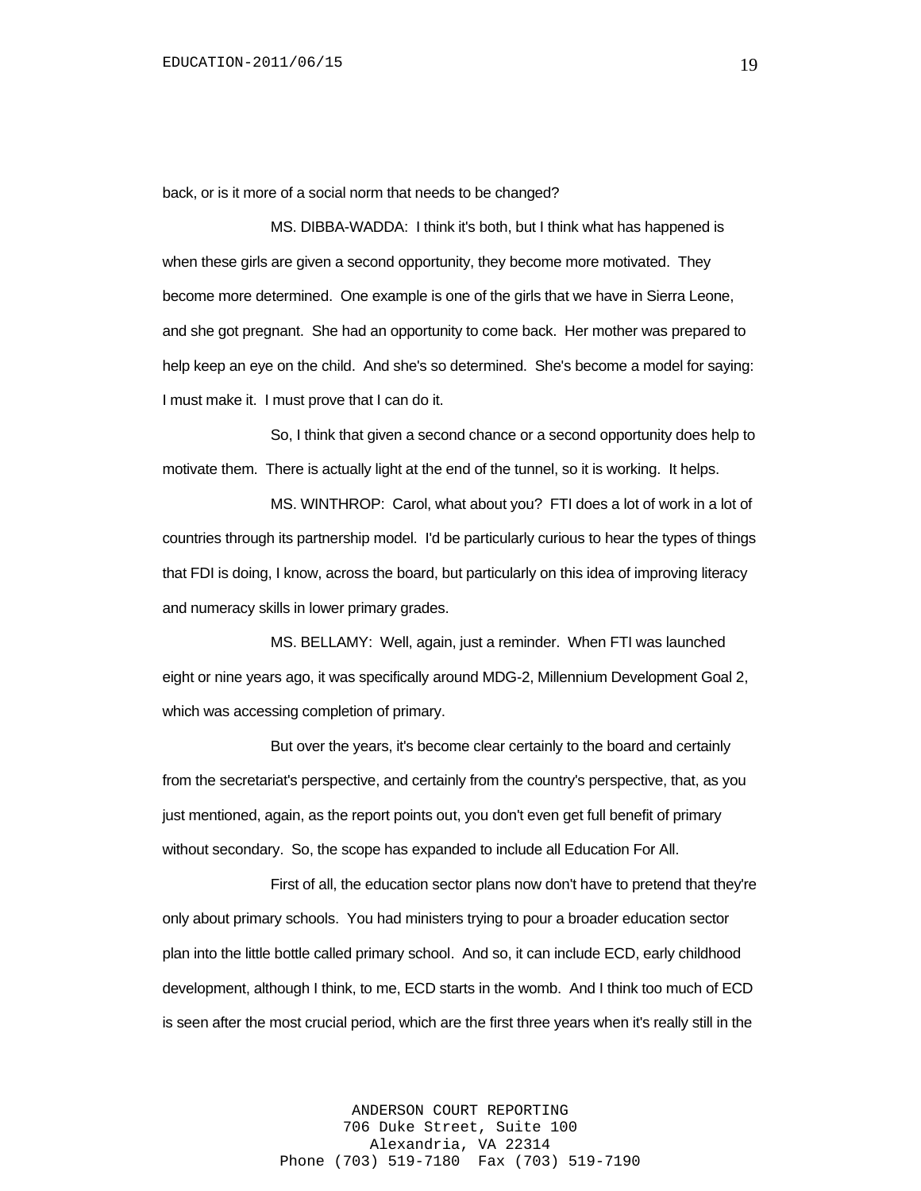back, or is it more of a social norm that needs to be changed?

MS. DIBBA-WADDA: I think it's both, but I think what has happened is when these girls are given a second opportunity, they become more motivated. They become more determined. One example is one of the girls that we have in Sierra Leone, and she got pregnant. She had an opportunity to come back. Her mother was prepared to help keep an eye on the child. And she's so determined. She's become a model for saying: I must make it. I must prove that I can do it.

So, I think that given a second chance or a second opportunity does help to motivate them. There is actually light at the end of the tunnel, so it is working. It helps.

MS. WINTHROP: Carol, what about you? FTI does a lot of work in a lot of countries through its partnership model. I'd be particularly curious to hear the types of things that FDI is doing, I know, across the board, but particularly on this idea of improving literacy and numeracy skills in lower primary grades.

MS. BELLAMY: Well, again, just a reminder. When FTI was launched eight or nine years ago, it was specifically around MDG-2, Millennium Development Goal 2, which was accessing completion of primary.

But over the years, it's become clear certainly to the board and certainly from the secretariat's perspective, and certainly from the country's perspective, that, as you just mentioned, again, as the report points out, you don't even get full benefit of primary without secondary. So, the scope has expanded to include all Education For All.

First of all, the education sector plans now don't have to pretend that they're only about primary schools. You had ministers trying to pour a broader education sector plan into the little bottle called primary school. And so, it can include ECD, early childhood development, although I think, to me, ECD starts in the womb. And I think too much of ECD is seen after the most crucial period, which are the first three years when it's really still in the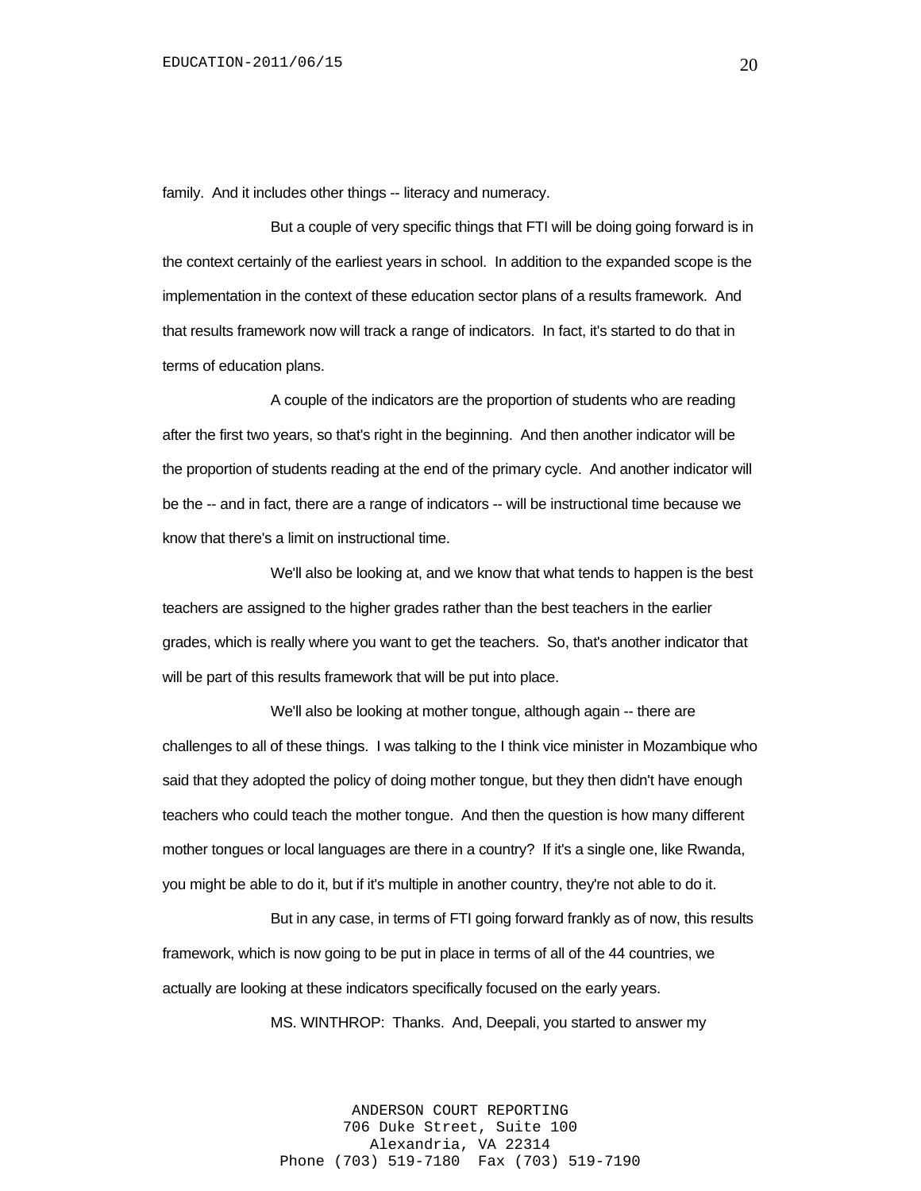family. And it includes other things -- literacy and numeracy.

But a couple of very specific things that FTI will be doing going forward is in the context certainly of the earliest years in school. In addition to the expanded scope is the implementation in the context of these education sector plans of a results framework. And that results framework now will track a range of indicators. In fact, it's started to do that in terms of education plans.

A couple of the indicators are the proportion of students who are reading after the first two years, so that's right in the beginning. And then another indicator will be the proportion of students reading at the end of the primary cycle. And another indicator will be the -- and in fact, there are a range of indicators -- will be instructional time because we know that there's a limit on instructional time.

We'll also be looking at, and we know that what tends to happen is the best teachers are assigned to the higher grades rather than the best teachers in the earlier grades, which is really where you want to get the teachers. So, that's another indicator that will be part of this results framework that will be put into place.

We'll also be looking at mother tongue, although again -- there are challenges to all of these things. I was talking to the I think vice minister in Mozambique who said that they adopted the policy of doing mother tongue, but they then didn't have enough teachers who could teach the mother tongue. And then the question is how many different mother tongues or local languages are there in a country? If it's a single one, like Rwanda, you might be able to do it, but if it's multiple in another country, they're not able to do it.

But in any case, in terms of FTI going forward frankly as of now, this results framework, which is now going to be put in place in terms of all of the 44 countries, we actually are looking at these indicators specifically focused on the early years.

MS. WINTHROP: Thanks. And, Deepali, you started to answer my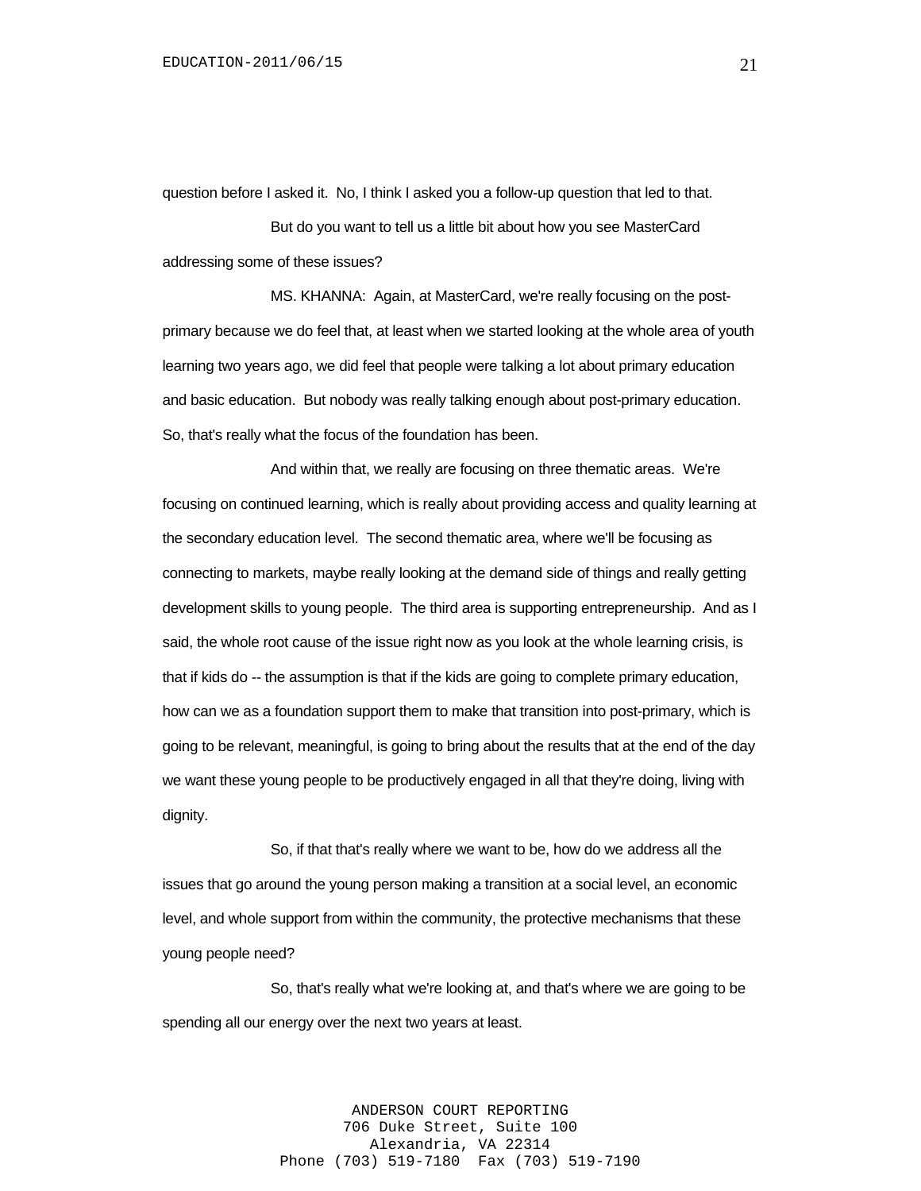question before I asked it. No, I think I asked you a follow-up question that led to that.

But do you want to tell us a little bit about how you see MasterCard addressing some of these issues?

MS. KHANNA: Again, at MasterCard, we're really focusing on the postprimary because we do feel that, at least when we started looking at the whole area of youth learning two years ago, we did feel that people were talking a lot about primary education and basic education. But nobody was really talking enough about post-primary education. So, that's really what the focus of the foundation has been.

And within that, we really are focusing on three thematic areas. We're focusing on continued learning, which is really about providing access and quality learning at the secondary education level. The second thematic area, where we'll be focusing as connecting to markets, maybe really looking at the demand side of things and really getting development skills to young people. The third area is supporting entrepreneurship. And as I said, the whole root cause of the issue right now as you look at the whole learning crisis, is that if kids do -- the assumption is that if the kids are going to complete primary education, how can we as a foundation support them to make that transition into post-primary, which is going to be relevant, meaningful, is going to bring about the results that at the end of the day we want these young people to be productively engaged in all that they're doing, living with dignity.

So, if that that's really where we want to be, how do we address all the issues that go around the young person making a transition at a social level, an economic level, and whole support from within the community, the protective mechanisms that these young people need?

So, that's really what we're looking at, and that's where we are going to be spending all our energy over the next two years at least.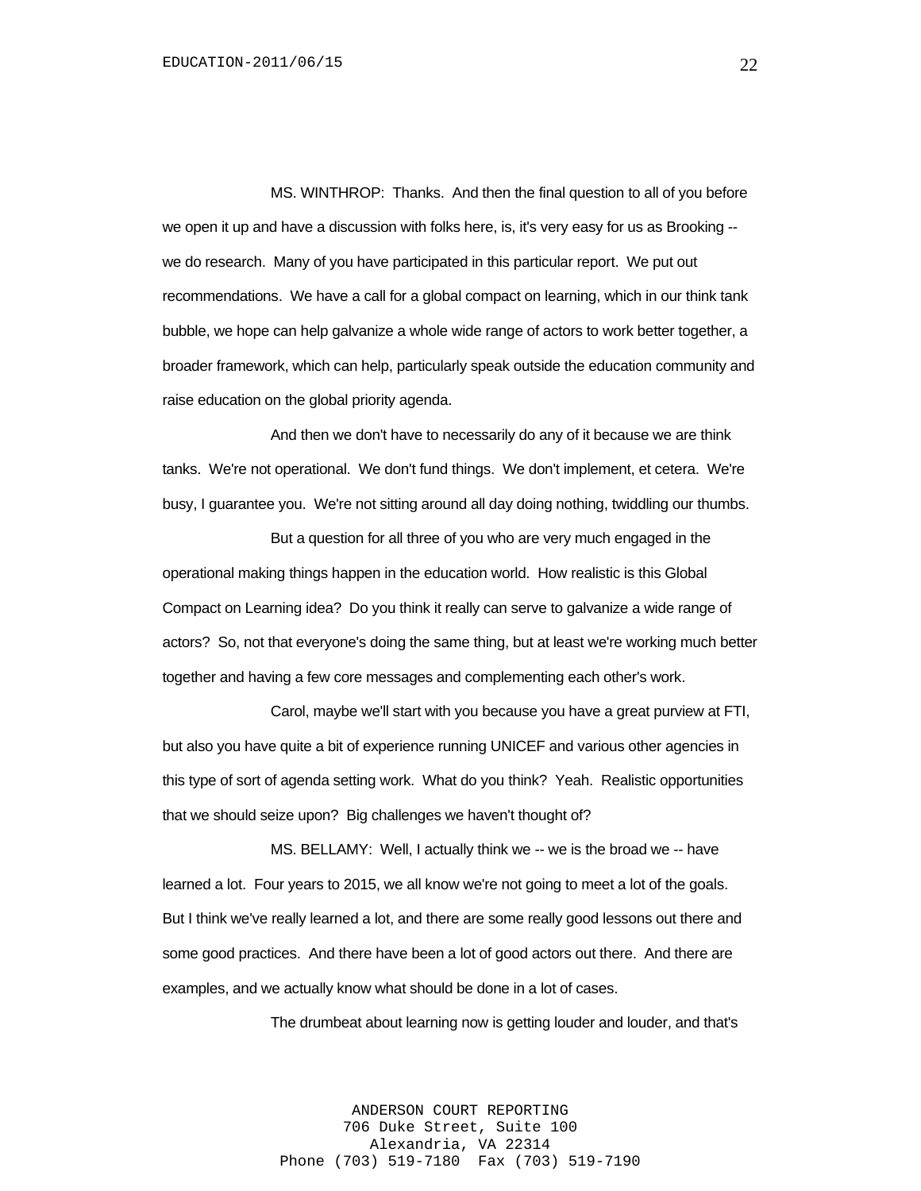MS. WINTHROP: Thanks. And then the final question to all of you before we open it up and have a discussion with folks here, is, it's very easy for us as Brooking -we do research. Many of you have participated in this particular report. We put out recommendations. We have a call for a global compact on learning, which in our think tank bubble, we hope can help galvanize a whole wide range of actors to work better together, a broader framework, which can help, particularly speak outside the education community and raise education on the global priority agenda.

And then we don't have to necessarily do any of it because we are think tanks. We're not operational. We don't fund things. We don't implement, et cetera. We're busy, I guarantee you. We're not sitting around all day doing nothing, twiddling our thumbs.

But a question for all three of you who are very much engaged in the operational making things happen in the education world. How realistic is this Global Compact on Learning idea? Do you think it really can serve to galvanize a wide range of actors? So, not that everyone's doing the same thing, but at least we're working much better together and having a few core messages and complementing each other's work.

Carol, maybe we'll start with you because you have a great purview at FTI, but also you have quite a bit of experience running UNICEF and various other agencies in this type of sort of agenda setting work. What do you think? Yeah. Realistic opportunities that we should seize upon? Big challenges we haven't thought of?

MS. BELLAMY: Well, I actually think we -- we is the broad we -- have learned a lot. Four years to 2015, we all know we're not going to meet a lot of the goals. But I think we've really learned a lot, and there are some really good lessons out there and some good practices. And there have been a lot of good actors out there. And there are examples, and we actually know what should be done in a lot of cases.

The drumbeat about learning now is getting louder and louder, and that's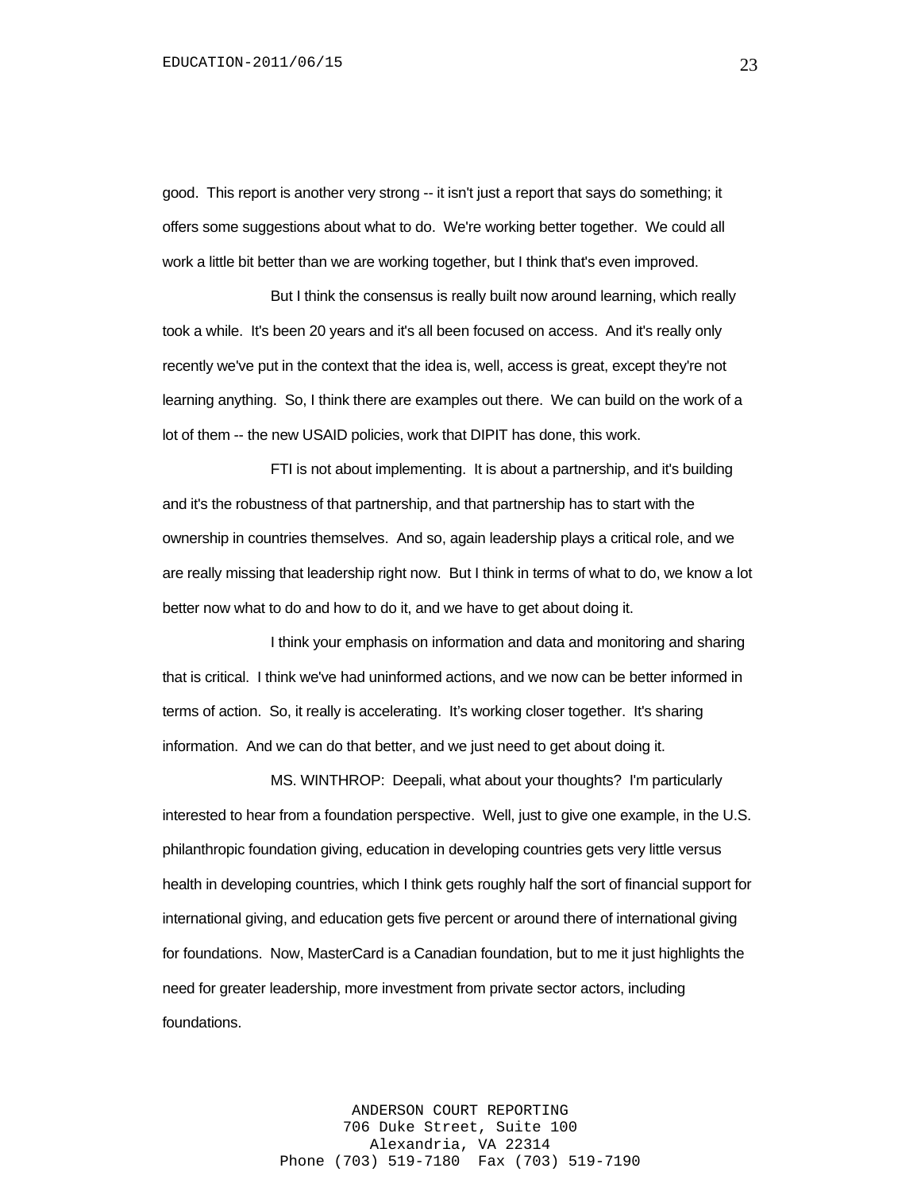good. This report is another very strong -- it isn't just a report that says do something; it offers some suggestions about what to do. We're working better together. We could all work a little bit better than we are working together, but I think that's even improved.

But I think the consensus is really built now around learning, which really took a while. It's been 20 years and it's all been focused on access. And it's really only recently we've put in the context that the idea is, well, access is great, except they're not learning anything. So, I think there are examples out there. We can build on the work of a lot of them -- the new USAID policies, work that DIPIT has done, this work.

FTI is not about implementing. It is about a partnership, and it's building and it's the robustness of that partnership, and that partnership has to start with the ownership in countries themselves. And so, again leadership plays a critical role, and we are really missing that leadership right now. But I think in terms of what to do, we know a lot better now what to do and how to do it, and we have to get about doing it.

I think your emphasis on information and data and monitoring and sharing that is critical. I think we've had uninformed actions, and we now can be better informed in terms of action. So, it really is accelerating. It's working closer together. It's sharing information. And we can do that better, and we just need to get about doing it.

MS. WINTHROP: Deepali, what about your thoughts? I'm particularly interested to hear from a foundation perspective. Well, just to give one example, in the U.S. philanthropic foundation giving, education in developing countries gets very little versus health in developing countries, which I think gets roughly half the sort of financial support for international giving, and education gets five percent or around there of international giving for foundations. Now, MasterCard is a Canadian foundation, but to me it just highlights the need for greater leadership, more investment from private sector actors, including foundations.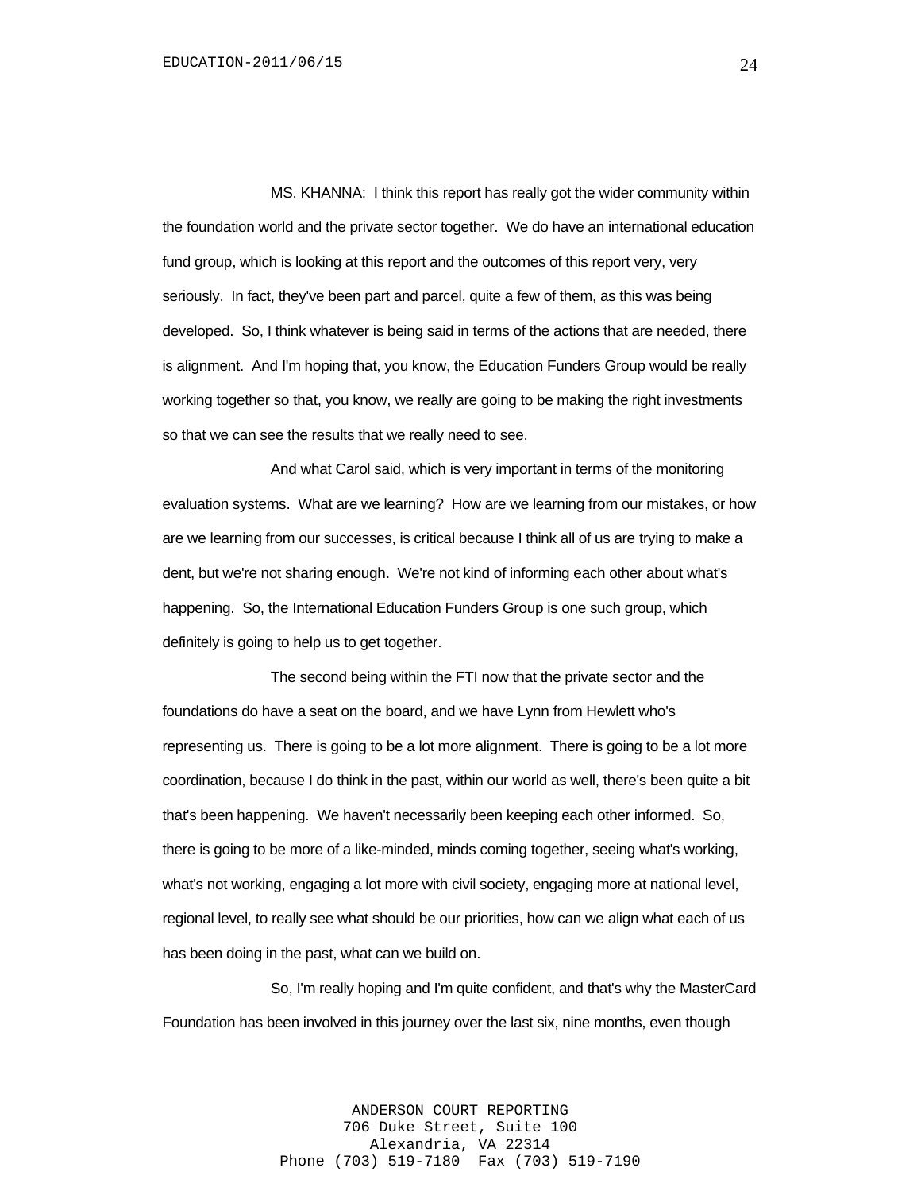MS. KHANNA: I think this report has really got the wider community within the foundation world and the private sector together. We do have an international education fund group, which is looking at this report and the outcomes of this report very, very seriously. In fact, they've been part and parcel, quite a few of them, as this was being developed. So, I think whatever is being said in terms of the actions that are needed, there is alignment. And I'm hoping that, you know, the Education Funders Group would be really working together so that, you know, we really are going to be making the right investments so that we can see the results that we really need to see.

And what Carol said, which is very important in terms of the monitoring evaluation systems. What are we learning? How are we learning from our mistakes, or how are we learning from our successes, is critical because I think all of us are trying to make a dent, but we're not sharing enough. We're not kind of informing each other about what's happening. So, the International Education Funders Group is one such group, which definitely is going to help us to get together.

The second being within the FTI now that the private sector and the foundations do have a seat on the board, and we have Lynn from Hewlett who's representing us. There is going to be a lot more alignment. There is going to be a lot more coordination, because I do think in the past, within our world as well, there's been quite a bit that's been happening. We haven't necessarily been keeping each other informed. So, there is going to be more of a like-minded, minds coming together, seeing what's working, what's not working, engaging a lot more with civil society, engaging more at national level, regional level, to really see what should be our priorities, how can we align what each of us has been doing in the past, what can we build on.

So, I'm really hoping and I'm quite confident, and that's why the MasterCard Foundation has been involved in this journey over the last six, nine months, even though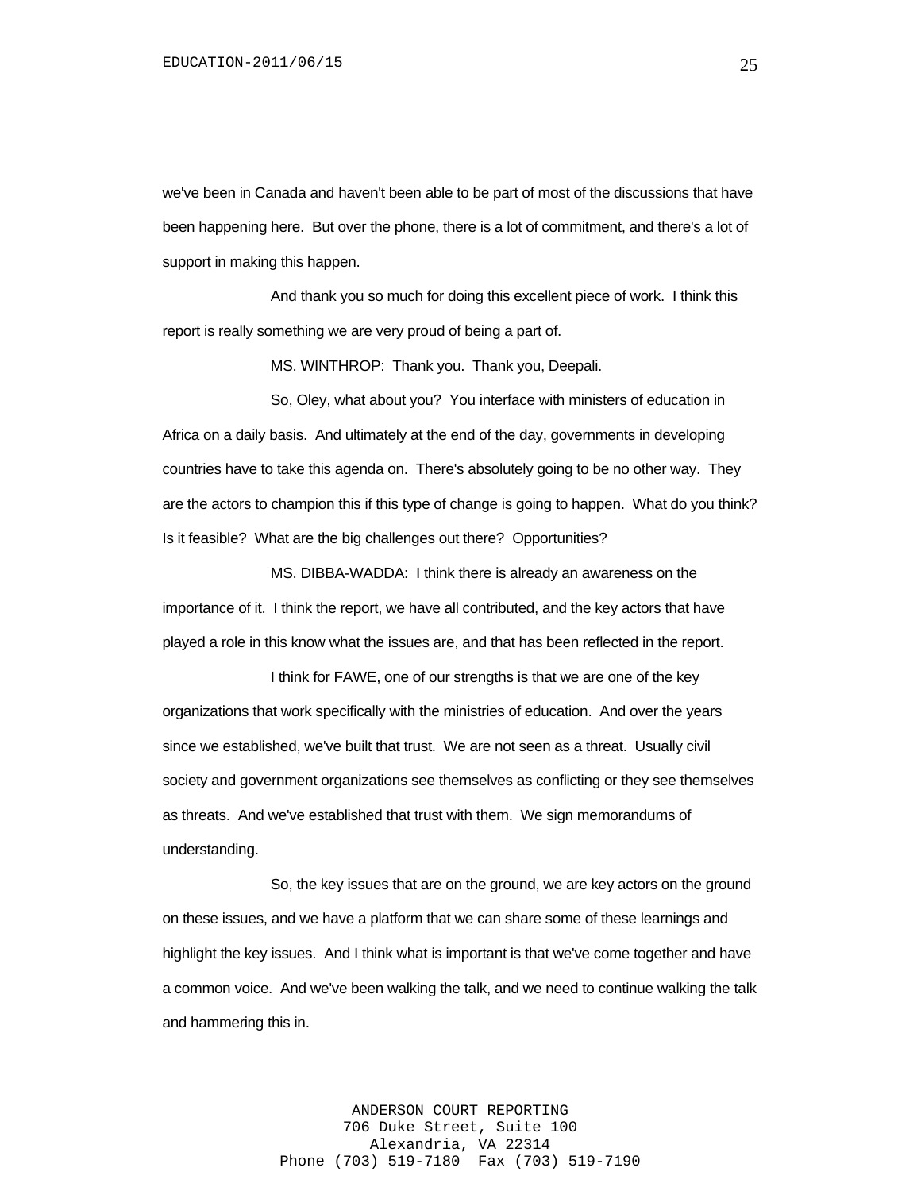we've been in Canada and haven't been able to be part of most of the discussions that have been happening here. But over the phone, there is a lot of commitment, and there's a lot of support in making this happen.

And thank you so much for doing this excellent piece of work. I think this report is really something we are very proud of being a part of.

MS. WINTHROP: Thank you. Thank you, Deepali.

So, Oley, what about you? You interface with ministers of education in Africa on a daily basis. And ultimately at the end of the day, governments in developing countries have to take this agenda on. There's absolutely going to be no other way. They are the actors to champion this if this type of change is going to happen. What do you think? Is it feasible? What are the big challenges out there? Opportunities?

MS. DIBBA-WADDA: I think there is already an awareness on the importance of it. I think the report, we have all contributed, and the key actors that have played a role in this know what the issues are, and that has been reflected in the report.

I think for FAWE, one of our strengths is that we are one of the key organizations that work specifically with the ministries of education. And over the years since we established, we've built that trust. We are not seen as a threat. Usually civil society and government organizations see themselves as conflicting or they see themselves as threats. And we've established that trust with them. We sign memorandums of understanding.

So, the key issues that are on the ground, we are key actors on the ground on these issues, and we have a platform that we can share some of these learnings and highlight the key issues. And I think what is important is that we've come together and have a common voice. And we've been walking the talk, and we need to continue walking the talk and hammering this in.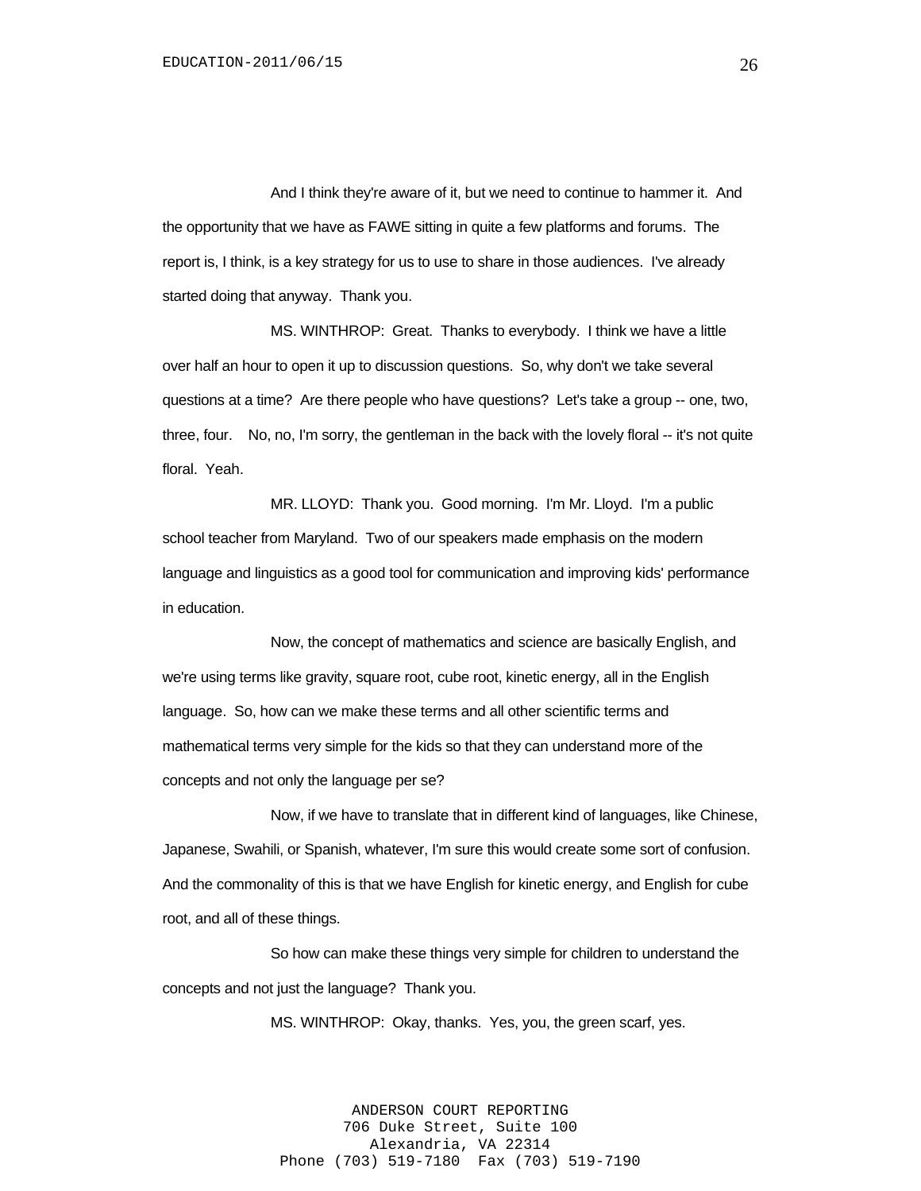And I think they're aware of it, but we need to continue to hammer it. And the opportunity that we have as FAWE sitting in quite a few platforms and forums. The report is, I think, is a key strategy for us to use to share in those audiences. I've already started doing that anyway. Thank you.

MS. WINTHROP: Great. Thanks to everybody. I think we have a little over half an hour to open it up to discussion questions. So, why don't we take several questions at a time? Are there people who have questions? Let's take a group -- one, two, three, four. No, no, I'm sorry, the gentleman in the back with the lovely floral -- it's not quite floral. Yeah.

MR. LLOYD: Thank you. Good morning. I'm Mr. Lloyd. I'm a public school teacher from Maryland. Two of our speakers made emphasis on the modern language and linguistics as a good tool for communication and improving kids' performance in education.

Now, the concept of mathematics and science are basically English, and we're using terms like gravity, square root, cube root, kinetic energy, all in the English language. So, how can we make these terms and all other scientific terms and mathematical terms very simple for the kids so that they can understand more of the concepts and not only the language per se?

Now, if we have to translate that in different kind of languages, like Chinese, Japanese, Swahili, or Spanish, whatever, I'm sure this would create some sort of confusion. And the commonality of this is that we have English for kinetic energy, and English for cube root, and all of these things.

So how can make these things very simple for children to understand the concepts and not just the language? Thank you.

MS. WINTHROP: Okay, thanks. Yes, you, the green scarf, yes.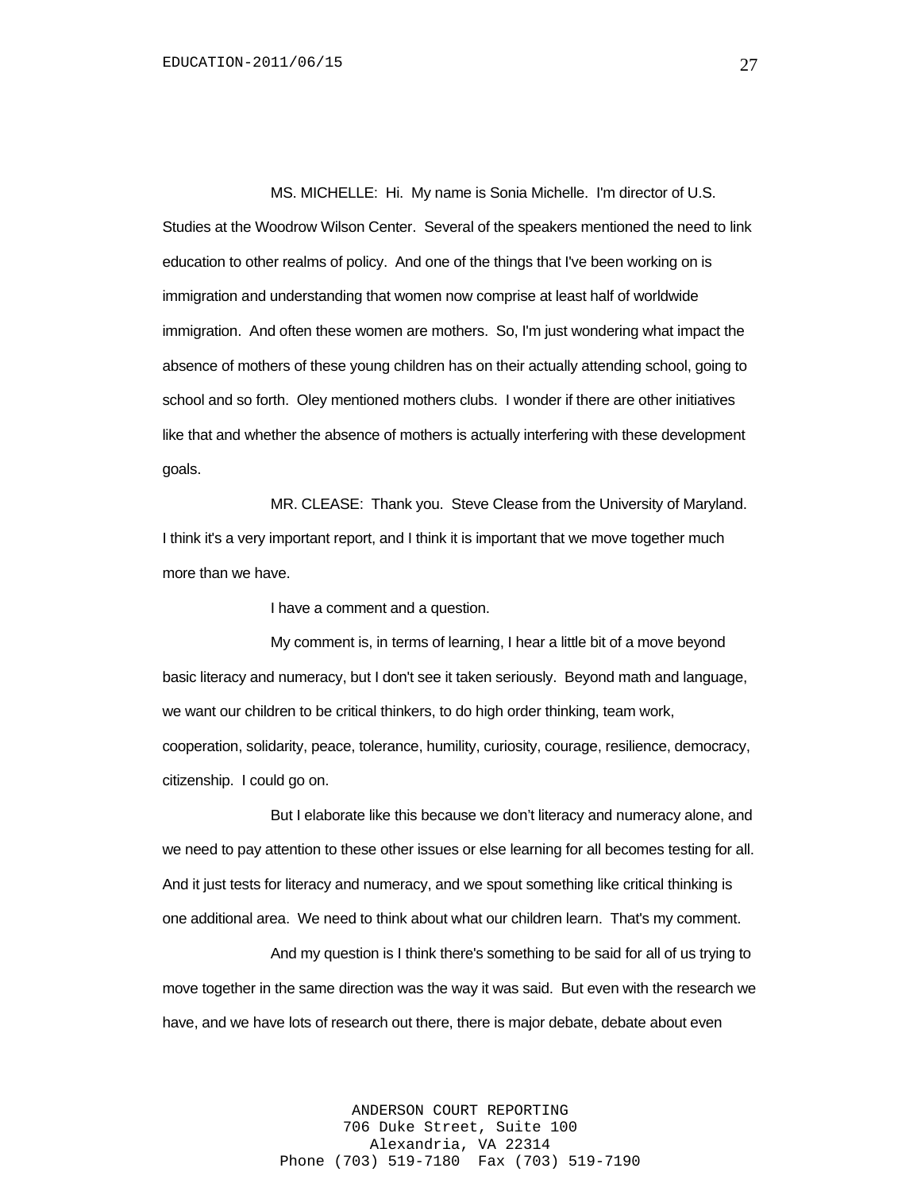MS. MICHELLE: Hi. My name is Sonia Michelle. I'm director of U.S. Studies at the Woodrow Wilson Center. Several of the speakers mentioned the need to link education to other realms of policy. And one of the things that I've been working on is immigration and understanding that women now comprise at least half of worldwide immigration. And often these women are mothers. So, I'm just wondering what impact the absence of mothers of these young children has on their actually attending school, going to school and so forth. Oley mentioned mothers clubs. I wonder if there are other initiatives like that and whether the absence of mothers is actually interfering with these development goals.

MR. CLEASE: Thank you. Steve Clease from the University of Maryland. I think it's a very important report, and I think it is important that we move together much more than we have.

I have a comment and a question.

My comment is, in terms of learning, I hear a little bit of a move beyond basic literacy and numeracy, but I don't see it taken seriously. Beyond math and language, we want our children to be critical thinkers, to do high order thinking, team work, cooperation, solidarity, peace, tolerance, humility, curiosity, courage, resilience, democracy, citizenship. I could go on.

But I elaborate like this because we don't literacy and numeracy alone, and we need to pay attention to these other issues or else learning for all becomes testing for all. And it just tests for literacy and numeracy, and we spout something like critical thinking is one additional area. We need to think about what our children learn. That's my comment.

And my question is I think there's something to be said for all of us trying to move together in the same direction was the way it was said. But even with the research we have, and we have lots of research out there, there is major debate, debate about even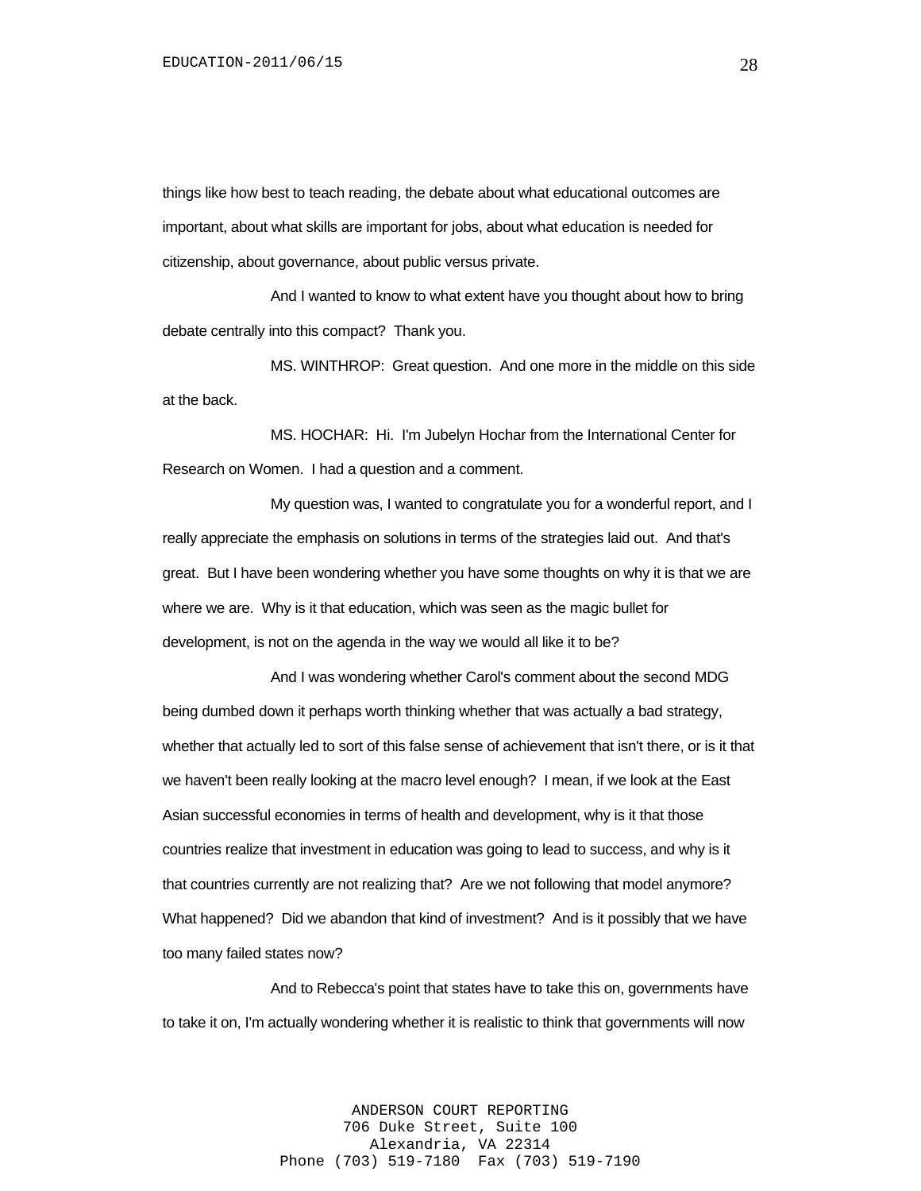things like how best to teach reading, the debate about what educational outcomes are important, about what skills are important for jobs, about what education is needed for citizenship, about governance, about public versus private.

And I wanted to know to what extent have you thought about how to bring debate centrally into this compact? Thank you.

MS. WINTHROP: Great question. And one more in the middle on this side at the back.

MS. HOCHAR: Hi. I'm Jubelyn Hochar from the International Center for Research on Women. I had a question and a comment.

My question was, I wanted to congratulate you for a wonderful report, and I really appreciate the emphasis on solutions in terms of the strategies laid out. And that's great. But I have been wondering whether you have some thoughts on why it is that we are where we are. Why is it that education, which was seen as the magic bullet for development, is not on the agenda in the way we would all like it to be?

And I was wondering whether Carol's comment about the second MDG being dumbed down it perhaps worth thinking whether that was actually a bad strategy, whether that actually led to sort of this false sense of achievement that isn't there, or is it that we haven't been really looking at the macro level enough? I mean, if we look at the East Asian successful economies in terms of health and development, why is it that those countries realize that investment in education was going to lead to success, and why is it that countries currently are not realizing that? Are we not following that model anymore? What happened? Did we abandon that kind of investment? And is it possibly that we have too many failed states now?

And to Rebecca's point that states have to take this on, governments have to take it on, I'm actually wondering whether it is realistic to think that governments will now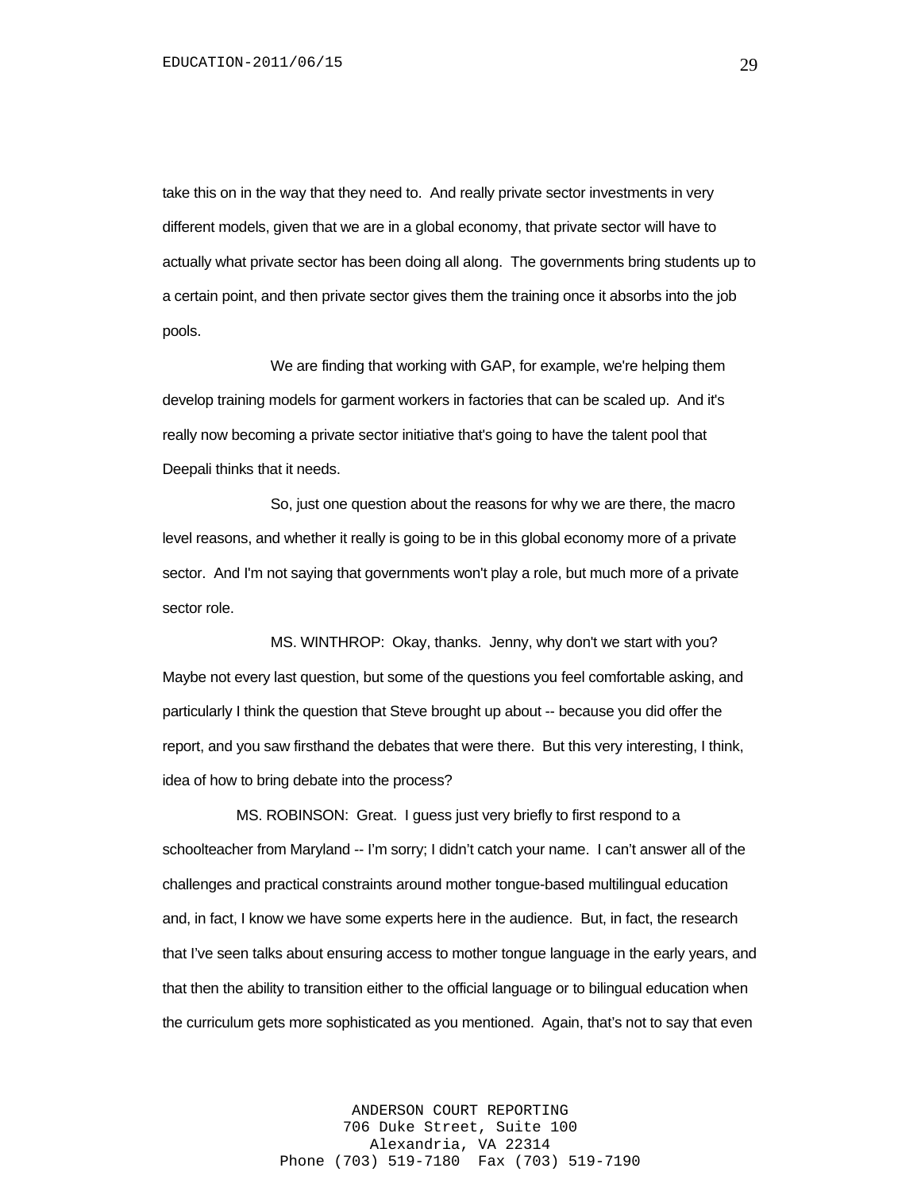take this on in the way that they need to. And really private sector investments in very different models, given that we are in a global economy, that private sector will have to actually what private sector has been doing all along. The governments bring students up to a certain point, and then private sector gives them the training once it absorbs into the job pools.

We are finding that working with GAP, for example, we're helping them develop training models for garment workers in factories that can be scaled up. And it's really now becoming a private sector initiative that's going to have the talent pool that Deepali thinks that it needs.

So, just one question about the reasons for why we are there, the macro level reasons, and whether it really is going to be in this global economy more of a private sector. And I'm not saying that governments won't play a role, but much more of a private sector role.

MS. WINTHROP: Okay, thanks. Jenny, why don't we start with you? Maybe not every last question, but some of the questions you feel comfortable asking, and particularly I think the question that Steve brought up about -- because you did offer the report, and you saw firsthand the debates that were there. But this very interesting, I think, idea of how to bring debate into the process?

 MS. ROBINSON: Great. I guess just very briefly to first respond to a schoolteacher from Maryland -- I'm sorry; I didn't catch your name. I can't answer all of the challenges and practical constraints around mother tongue-based multilingual education and, in fact, I know we have some experts here in the audience. But, in fact, the research that I've seen talks about ensuring access to mother tongue language in the early years, and that then the ability to transition either to the official language or to bilingual education when the curriculum gets more sophisticated as you mentioned. Again, that's not to say that even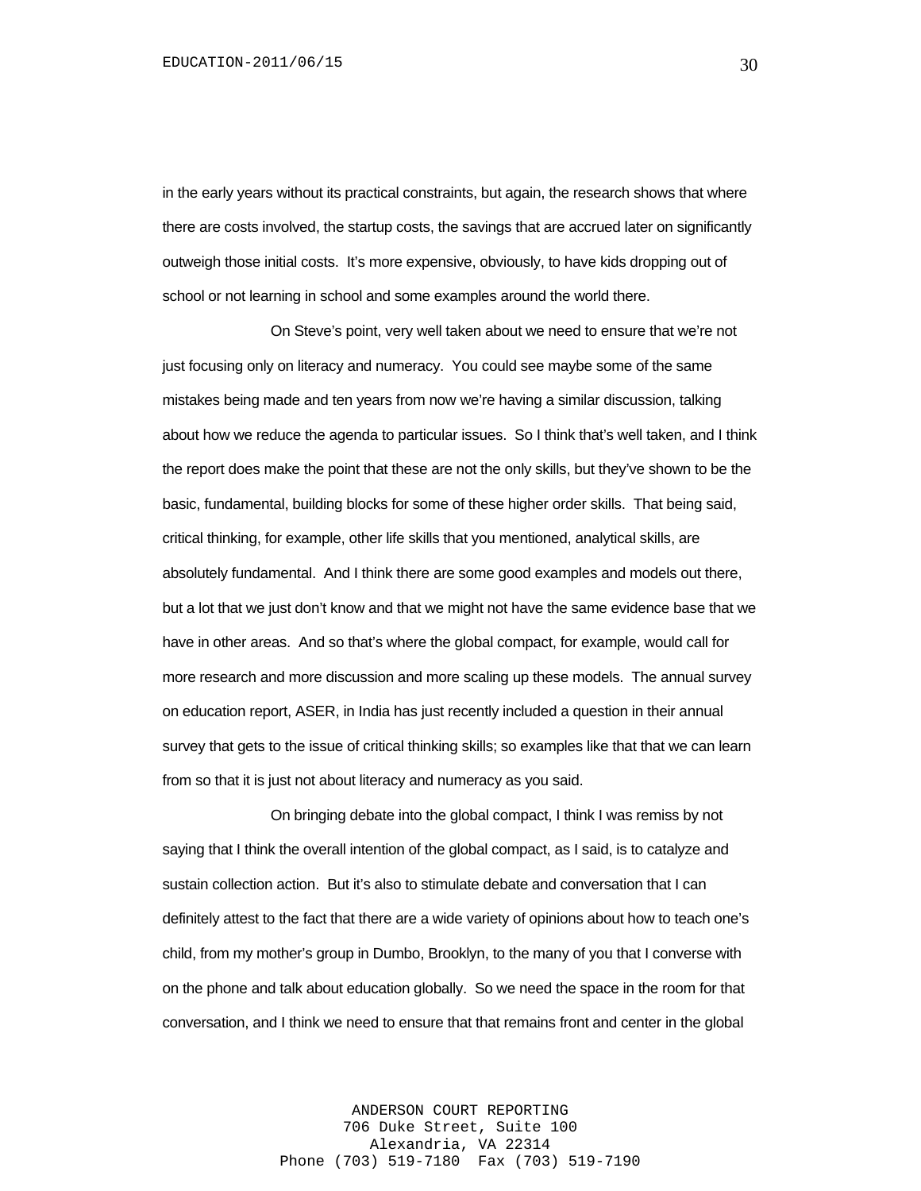in the early years without its practical constraints, but again, the research shows that where there are costs involved, the startup costs, the savings that are accrued later on significantly outweigh those initial costs. It's more expensive, obviously, to have kids dropping out of school or not learning in school and some examples around the world there.

On Steve's point, very well taken about we need to ensure that we're not just focusing only on literacy and numeracy. You could see maybe some of the same mistakes being made and ten years from now we're having a similar discussion, talking about how we reduce the agenda to particular issues. So I think that's well taken, and I think the report does make the point that these are not the only skills, but they've shown to be the basic, fundamental, building blocks for some of these higher order skills. That being said, critical thinking, for example, other life skills that you mentioned, analytical skills, are absolutely fundamental. And I think there are some good examples and models out there, but a lot that we just don't know and that we might not have the same evidence base that we have in other areas. And so that's where the global compact, for example, would call for more research and more discussion and more scaling up these models. The annual survey on education report, ASER, in India has just recently included a question in their annual survey that gets to the issue of critical thinking skills; so examples like that that we can learn from so that it is just not about literacy and numeracy as you said.

On bringing debate into the global compact, I think I was remiss by not saying that I think the overall intention of the global compact, as I said, is to catalyze and sustain collection action. But it's also to stimulate debate and conversation that I can definitely attest to the fact that there are a wide variety of opinions about how to teach one's child, from my mother's group in Dumbo, Brooklyn, to the many of you that I converse with on the phone and talk about education globally. So we need the space in the room for that conversation, and I think we need to ensure that that remains front and center in the global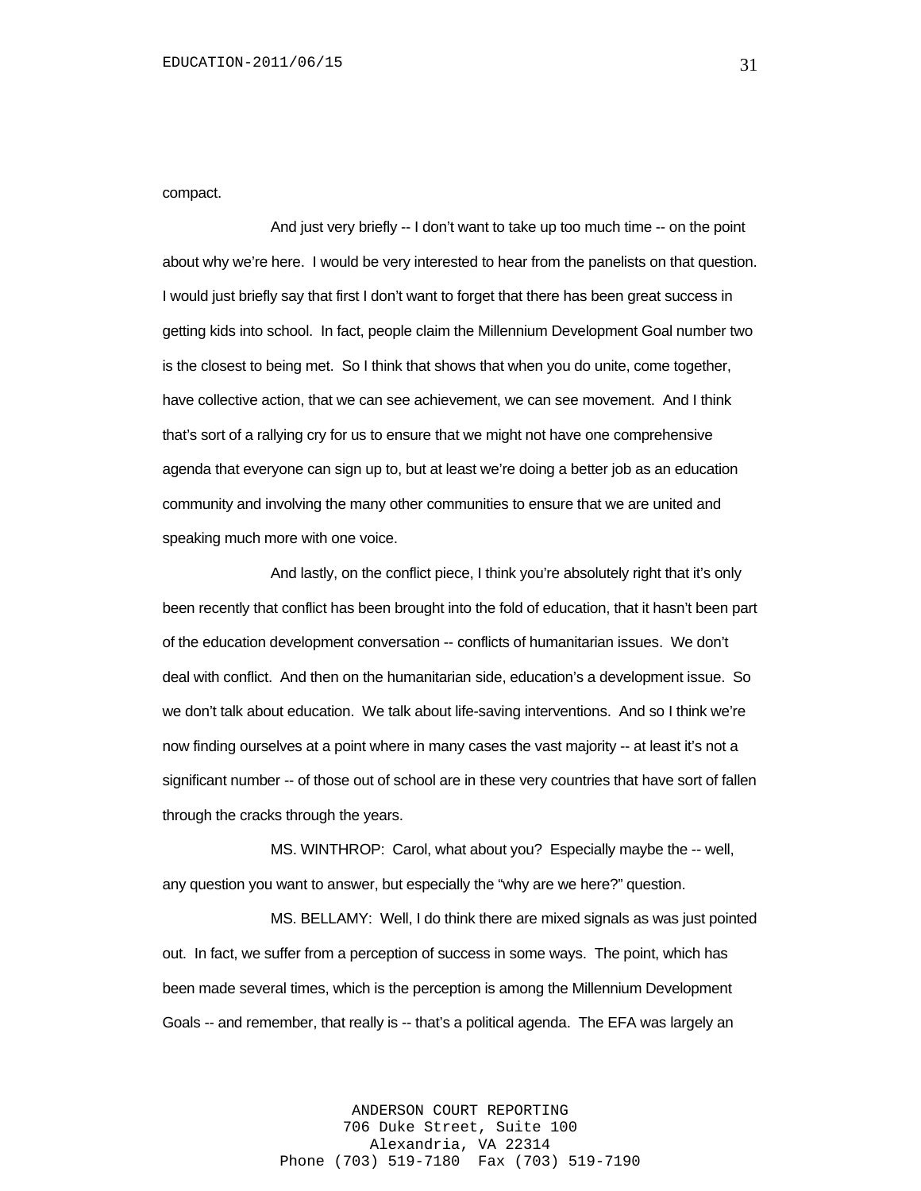compact.

And just very briefly -- I don't want to take up too much time -- on the point about why we're here. I would be very interested to hear from the panelists on that question. I would just briefly say that first I don't want to forget that there has been great success in getting kids into school. In fact, people claim the Millennium Development Goal number two is the closest to being met. So I think that shows that when you do unite, come together, have collective action, that we can see achievement, we can see movement. And I think that's sort of a rallying cry for us to ensure that we might not have one comprehensive agenda that everyone can sign up to, but at least we're doing a better job as an education community and involving the many other communities to ensure that we are united and speaking much more with one voice.

And lastly, on the conflict piece, I think you're absolutely right that it's only been recently that conflict has been brought into the fold of education, that it hasn't been part of the education development conversation -- conflicts of humanitarian issues. We don't deal with conflict. And then on the humanitarian side, education's a development issue. So we don't talk about education. We talk about life-saving interventions. And so I think we're now finding ourselves at a point where in many cases the vast majority -- at least it's not a significant number -- of those out of school are in these very countries that have sort of fallen through the cracks through the years.

MS. WINTHROP: Carol, what about you? Especially maybe the -- well, any question you want to answer, but especially the "why are we here?" question.

MS. BELLAMY: Well, I do think there are mixed signals as was just pointed out. In fact, we suffer from a perception of success in some ways. The point, which has been made several times, which is the perception is among the Millennium Development Goals -- and remember, that really is -- that's a political agenda. The EFA was largely an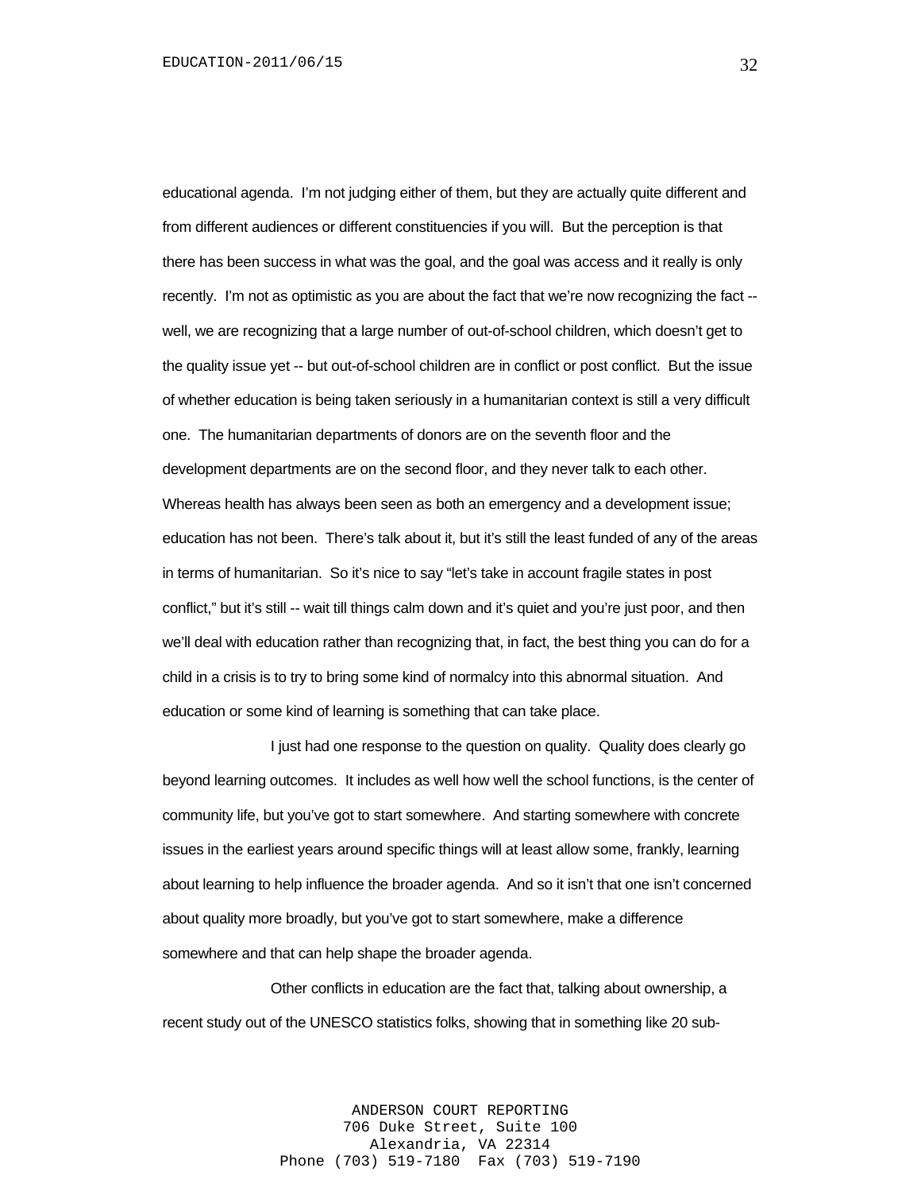educational agenda. I'm not judging either of them, but they are actually quite different and from different audiences or different constituencies if you will. But the perception is that there has been success in what was the goal, and the goal was access and it really is only recently. I'm not as optimistic as you are about the fact that we're now recognizing the fact - well, we are recognizing that a large number of out-of-school children, which doesn't get to the quality issue yet -- but out-of-school children are in conflict or post conflict. But the issue of whether education is being taken seriously in a humanitarian context is still a very difficult one. The humanitarian departments of donors are on the seventh floor and the development departments are on the second floor, and they never talk to each other. Whereas health has always been seen as both an emergency and a development issue; education has not been. There's talk about it, but it's still the least funded of any of the areas in terms of humanitarian. So it's nice to say "let's take in account fragile states in post conflict," but it's still -- wait till things calm down and it's quiet and you're just poor, and then we'll deal with education rather than recognizing that, in fact, the best thing you can do for a child in a crisis is to try to bring some kind of normalcy into this abnormal situation. And education or some kind of learning is something that can take place.

I just had one response to the question on quality. Quality does clearly go beyond learning outcomes. It includes as well how well the school functions, is the center of community life, but you've got to start somewhere. And starting somewhere with concrete issues in the earliest years around specific things will at least allow some, frankly, learning about learning to help influence the broader agenda. And so it isn't that one isn't concerned about quality more broadly, but you've got to start somewhere, make a difference somewhere and that can help shape the broader agenda.

Other conflicts in education are the fact that, talking about ownership, a recent study out of the UNESCO statistics folks, showing that in something like 20 sub-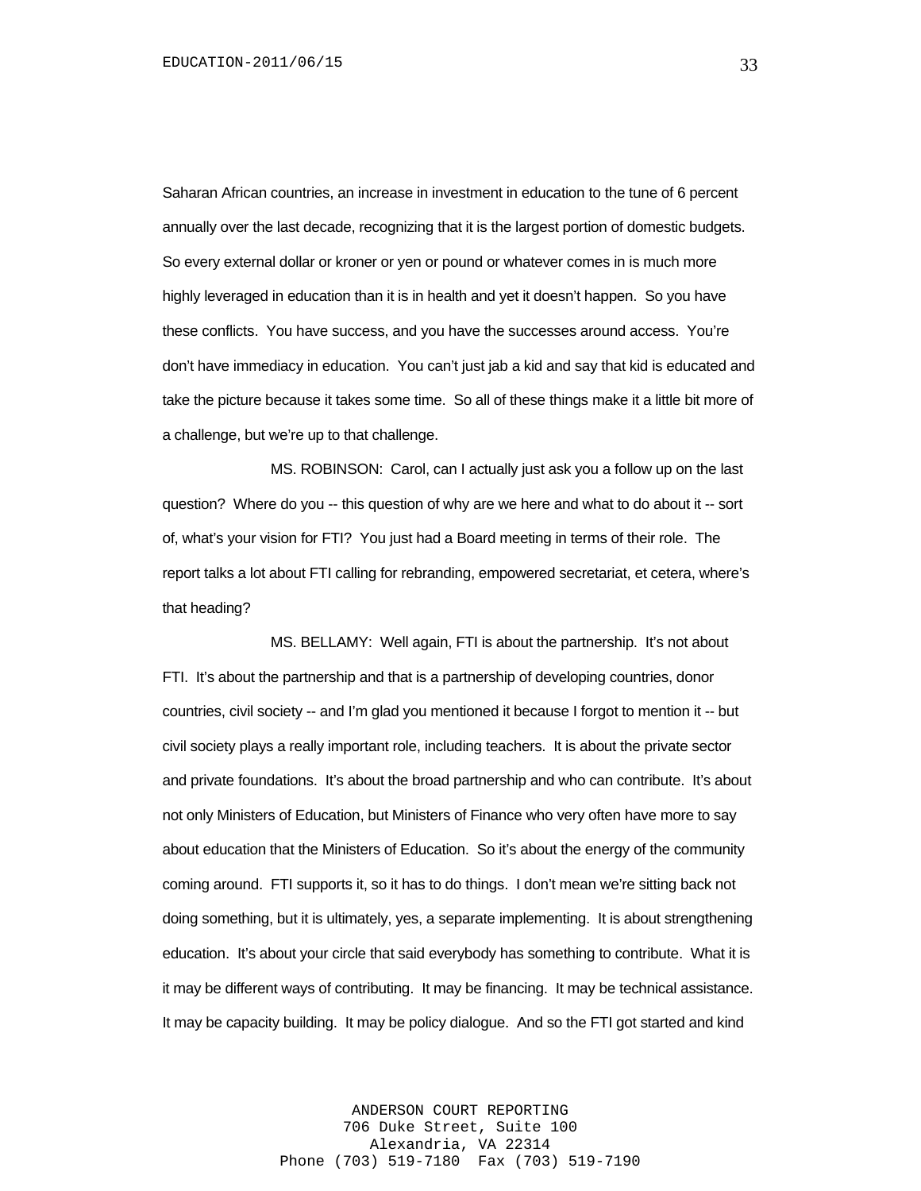Saharan African countries, an increase in investment in education to the tune of 6 percent annually over the last decade, recognizing that it is the largest portion of domestic budgets. So every external dollar or kroner or yen or pound or whatever comes in is much more highly leveraged in education than it is in health and yet it doesn't happen. So you have these conflicts. You have success, and you have the successes around access. You're don't have immediacy in education. You can't just jab a kid and say that kid is educated and take the picture because it takes some time. So all of these things make it a little bit more of a challenge, but we're up to that challenge.

MS. ROBINSON: Carol, can I actually just ask you a follow up on the last question? Where do you -- this question of why are we here and what to do about it -- sort of, what's your vision for FTI? You just had a Board meeting in terms of their role. The report talks a lot about FTI calling for rebranding, empowered secretariat, et cetera, where's that heading?

MS. BELLAMY: Well again, FTI is about the partnership. It's not about FTI. It's about the partnership and that is a partnership of developing countries, donor countries, civil society -- and I'm glad you mentioned it because I forgot to mention it -- but civil society plays a really important role, including teachers. It is about the private sector and private foundations. It's about the broad partnership and who can contribute. It's about not only Ministers of Education, but Ministers of Finance who very often have more to say about education that the Ministers of Education. So it's about the energy of the community coming around. FTI supports it, so it has to do things. I don't mean we're sitting back not doing something, but it is ultimately, yes, a separate implementing. It is about strengthening education. It's about your circle that said everybody has something to contribute. What it is it may be different ways of contributing. It may be financing. It may be technical assistance. It may be capacity building. It may be policy dialogue. And so the FTI got started and kind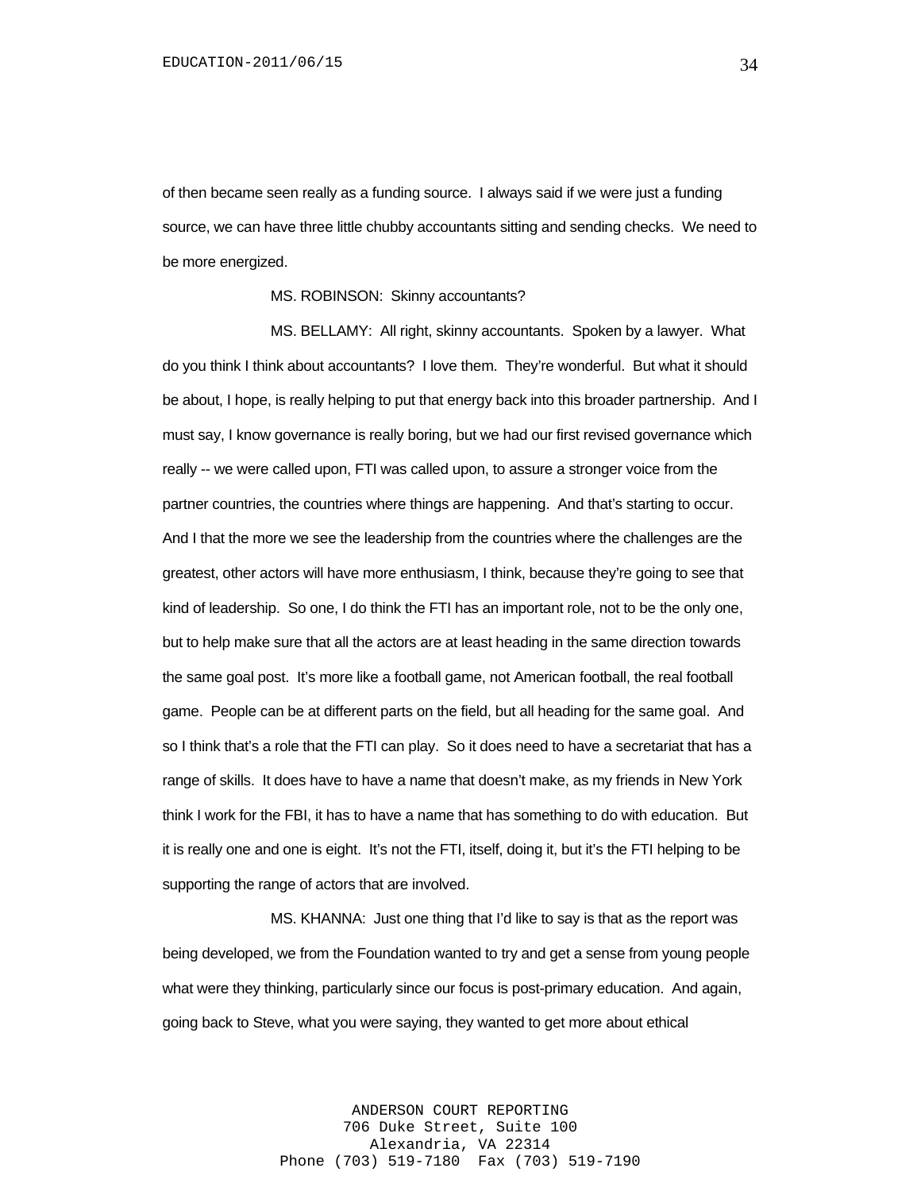of then became seen really as a funding source. I always said if we were just a funding source, we can have three little chubby accountants sitting and sending checks. We need to be more energized.

MS. ROBINSON: Skinny accountants?

MS. BELLAMY: All right, skinny accountants. Spoken by a lawyer. What do you think I think about accountants? I love them. They're wonderful. But what it should be about, I hope, is really helping to put that energy back into this broader partnership. And I must say, I know governance is really boring, but we had our first revised governance which really -- we were called upon, FTI was called upon, to assure a stronger voice from the partner countries, the countries where things are happening. And that's starting to occur. And I that the more we see the leadership from the countries where the challenges are the greatest, other actors will have more enthusiasm, I think, because they're going to see that kind of leadership. So one, I do think the FTI has an important role, not to be the only one, but to help make sure that all the actors are at least heading in the same direction towards the same goal post. It's more like a football game, not American football, the real football game. People can be at different parts on the field, but all heading for the same goal. And so I think that's a role that the FTI can play. So it does need to have a secretariat that has a range of skills. It does have to have a name that doesn't make, as my friends in New York think I work for the FBI, it has to have a name that has something to do with education. But it is really one and one is eight. It's not the FTI, itself, doing it, but it's the FTI helping to be supporting the range of actors that are involved.

MS. KHANNA: Just one thing that I'd like to say is that as the report was being developed, we from the Foundation wanted to try and get a sense from young people what were they thinking, particularly since our focus is post-primary education. And again, going back to Steve, what you were saying, they wanted to get more about ethical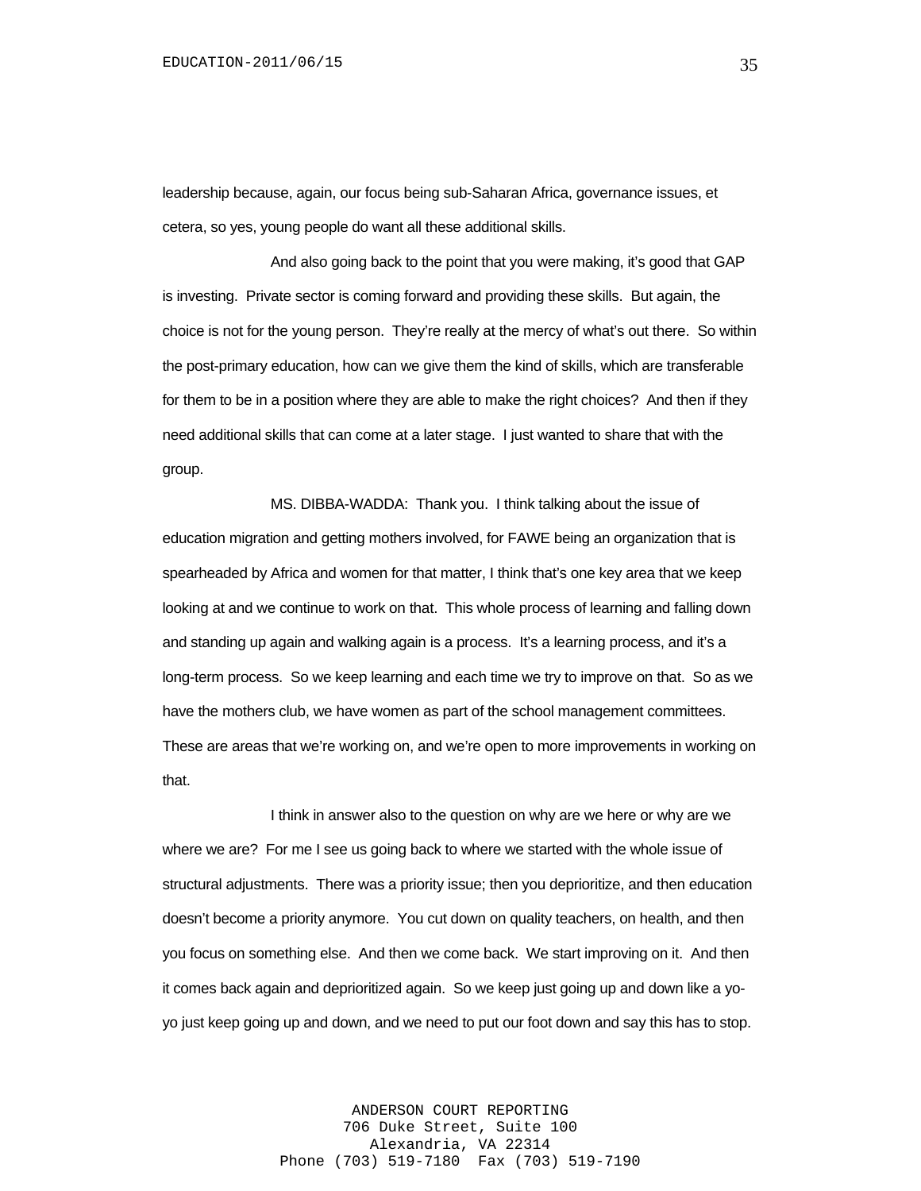leadership because, again, our focus being sub-Saharan Africa, governance issues, et cetera, so yes, young people do want all these additional skills.

And also going back to the point that you were making, it's good that GAP is investing. Private sector is coming forward and providing these skills. But again, the choice is not for the young person. They're really at the mercy of what's out there. So within the post-primary education, how can we give them the kind of skills, which are transferable for them to be in a position where they are able to make the right choices? And then if they need additional skills that can come at a later stage. I just wanted to share that with the group.

MS. DIBBA-WADDA: Thank you. I think talking about the issue of education migration and getting mothers involved, for FAWE being an organization that is spearheaded by Africa and women for that matter, I think that's one key area that we keep looking at and we continue to work on that. This whole process of learning and falling down and standing up again and walking again is a process. It's a learning process, and it's a long-term process. So we keep learning and each time we try to improve on that. So as we have the mothers club, we have women as part of the school management committees. These are areas that we're working on, and we're open to more improvements in working on that.

I think in answer also to the question on why are we here or why are we where we are? For me I see us going back to where we started with the whole issue of structural adjustments. There was a priority issue; then you deprioritize, and then education doesn't become a priority anymore. You cut down on quality teachers, on health, and then you focus on something else. And then we come back. We start improving on it. And then it comes back again and deprioritized again. So we keep just going up and down like a yoyo just keep going up and down, and we need to put our foot down and say this has to stop.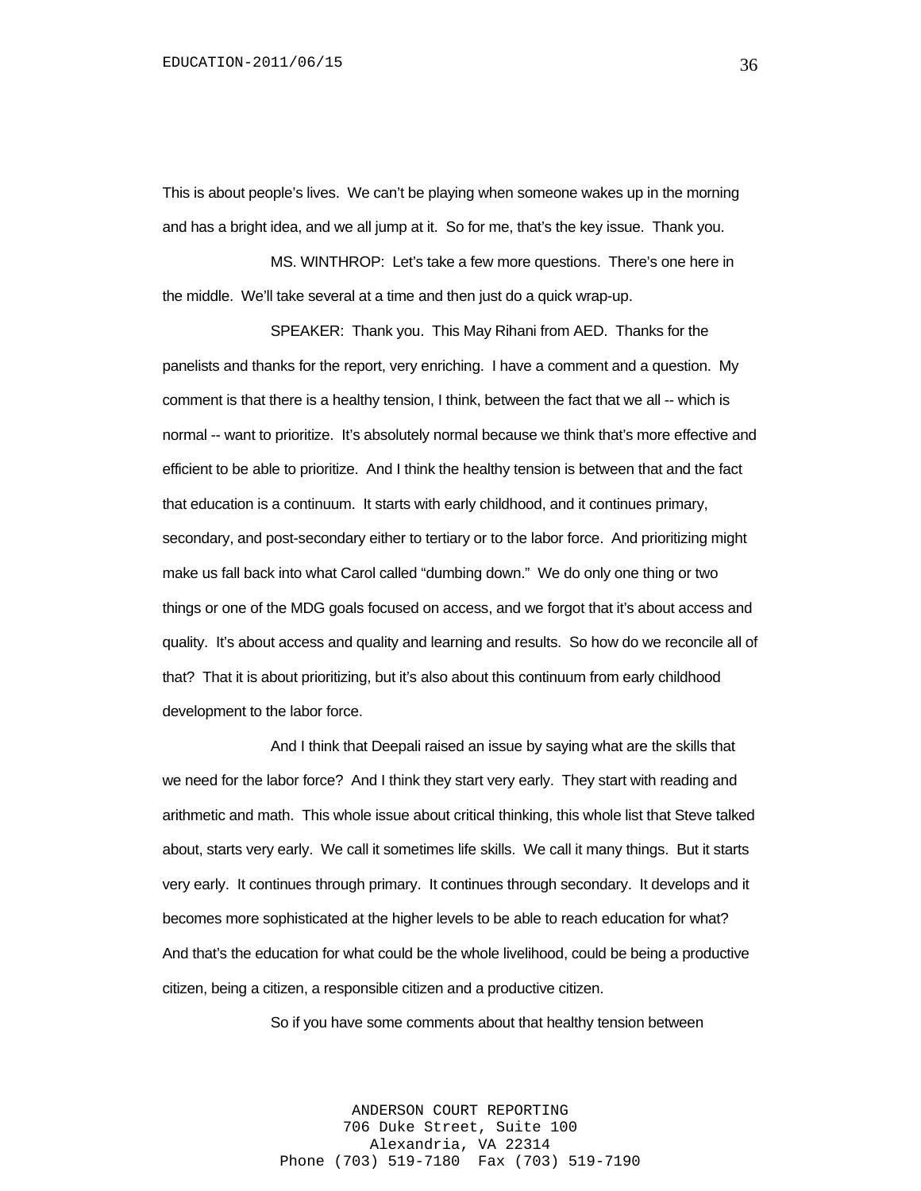This is about people's lives. We can't be playing when someone wakes up in the morning and has a bright idea, and we all jump at it. So for me, that's the key issue. Thank you.

MS. WINTHROP: Let's take a few more questions. There's one here in the middle. We'll take several at a time and then just do a quick wrap-up.

SPEAKER: Thank you. This May Rihani from AED. Thanks for the panelists and thanks for the report, very enriching. I have a comment and a question. My comment is that there is a healthy tension, I think, between the fact that we all -- which is normal -- want to prioritize. It's absolutely normal because we think that's more effective and efficient to be able to prioritize. And I think the healthy tension is between that and the fact that education is a continuum. It starts with early childhood, and it continues primary, secondary, and post-secondary either to tertiary or to the labor force. And prioritizing might make us fall back into what Carol called "dumbing down." We do only one thing or two things or one of the MDG goals focused on access, and we forgot that it's about access and quality. It's about access and quality and learning and results. So how do we reconcile all of that? That it is about prioritizing, but it's also about this continuum from early childhood development to the labor force.

And I think that Deepali raised an issue by saying what are the skills that we need for the labor force? And I think they start very early. They start with reading and arithmetic and math. This whole issue about critical thinking, this whole list that Steve talked about, starts very early. We call it sometimes life skills. We call it many things. But it starts very early. It continues through primary. It continues through secondary. It develops and it becomes more sophisticated at the higher levels to be able to reach education for what? And that's the education for what could be the whole livelihood, could be being a productive citizen, being a citizen, a responsible citizen and a productive citizen.

So if you have some comments about that healthy tension between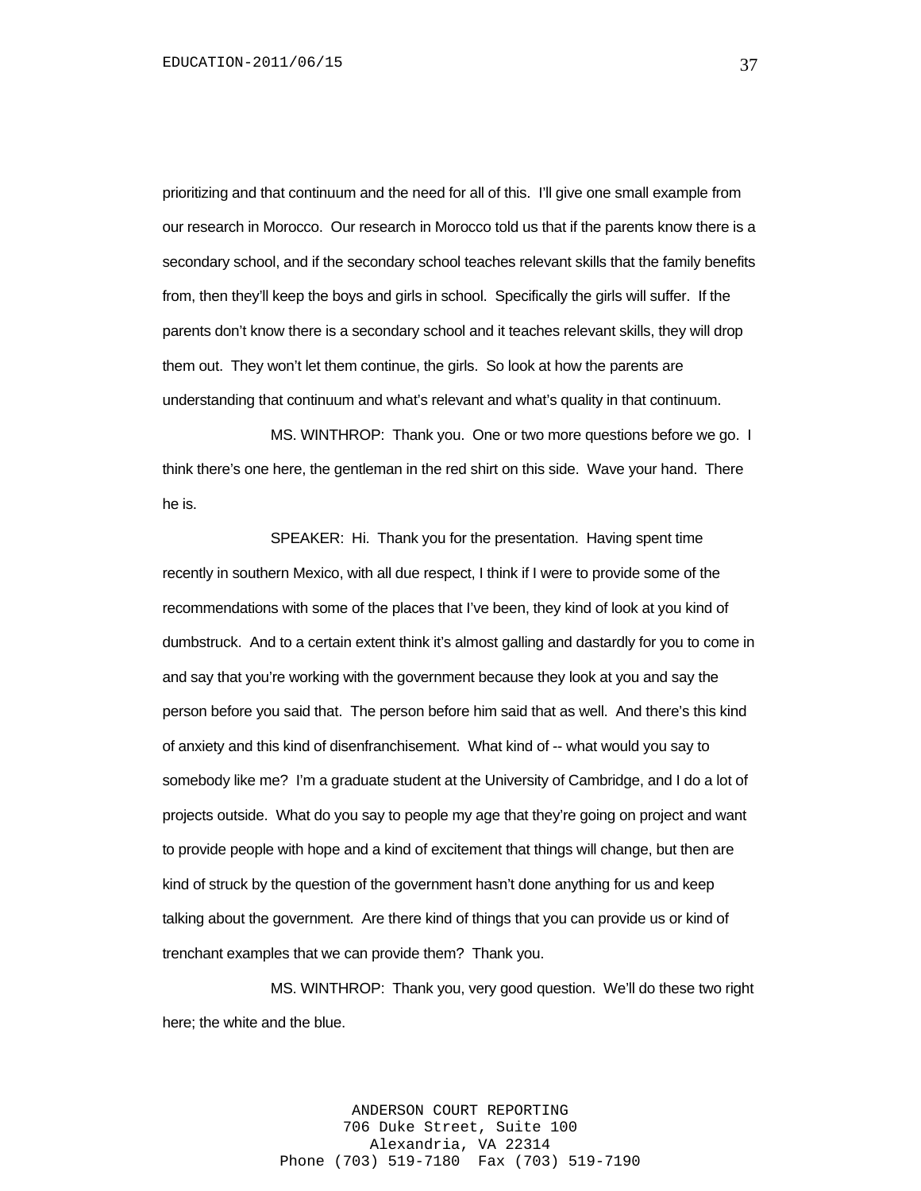prioritizing and that continuum and the need for all of this. I'll give one small example from our research in Morocco. Our research in Morocco told us that if the parents know there is a secondary school, and if the secondary school teaches relevant skills that the family benefits from, then they'll keep the boys and girls in school. Specifically the girls will suffer. If the parents don't know there is a secondary school and it teaches relevant skills, they will drop them out. They won't let them continue, the girls. So look at how the parents are understanding that continuum and what's relevant and what's quality in that continuum.

MS. WINTHROP: Thank you. One or two more questions before we go. I think there's one here, the gentleman in the red shirt on this side. Wave your hand. There he is.

SPEAKER: Hi. Thank you for the presentation. Having spent time recently in southern Mexico, with all due respect, I think if I were to provide some of the recommendations with some of the places that I've been, they kind of look at you kind of dumbstruck. And to a certain extent think it's almost galling and dastardly for you to come in and say that you're working with the government because they look at you and say the person before you said that. The person before him said that as well. And there's this kind of anxiety and this kind of disenfranchisement. What kind of -- what would you say to somebody like me? I'm a graduate student at the University of Cambridge, and I do a lot of projects outside. What do you say to people my age that they're going on project and want to provide people with hope and a kind of excitement that things will change, but then are kind of struck by the question of the government hasn't done anything for us and keep talking about the government. Are there kind of things that you can provide us or kind of trenchant examples that we can provide them? Thank you.

MS. WINTHROP: Thank you, very good question. We'll do these two right here; the white and the blue.

> ANDERSON COURT REPORTING 706 Duke Street, Suite 100 Alexandria, VA 22314 Phone (703) 519-7180 Fax (703) 519-7190

37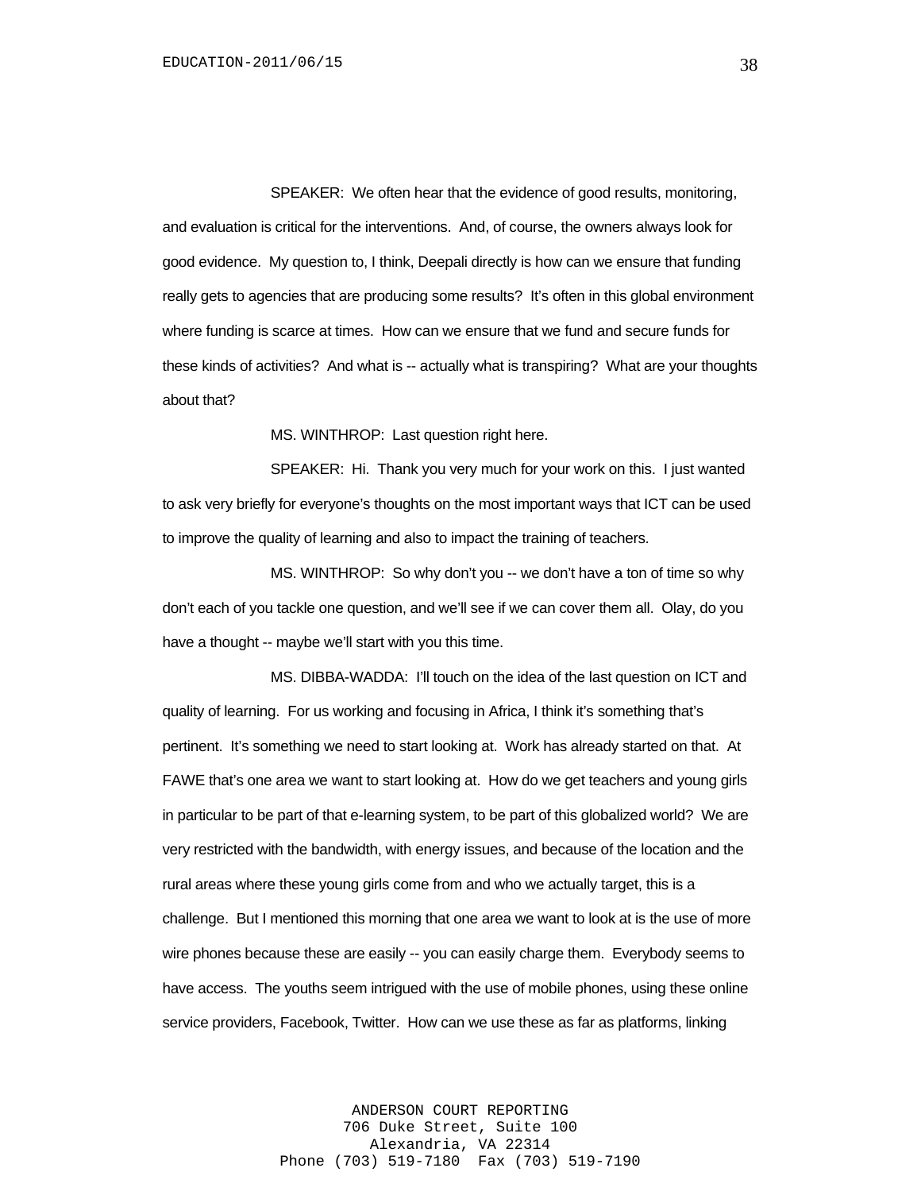SPEAKER: We often hear that the evidence of good results, monitoring, and evaluation is critical for the interventions. And, of course, the owners always look for good evidence. My question to, I think, Deepali directly is how can we ensure that funding really gets to agencies that are producing some results? It's often in this global environment where funding is scarce at times. How can we ensure that we fund and secure funds for these kinds of activities? And what is -- actually what is transpiring? What are your thoughts about that?

MS. WINTHROP: Last question right here.

SPEAKER: Hi. Thank you very much for your work on this. I just wanted to ask very briefly for everyone's thoughts on the most important ways that ICT can be used to improve the quality of learning and also to impact the training of teachers.

MS. WINTHROP: So why don't you -- we don't have a ton of time so why don't each of you tackle one question, and we'll see if we can cover them all. Olay, do you have a thought -- maybe we'll start with you this time.

MS. DIBBA-WADDA: I'll touch on the idea of the last question on ICT and quality of learning. For us working and focusing in Africa, I think it's something that's pertinent. It's something we need to start looking at. Work has already started on that. At FAWE that's one area we want to start looking at. How do we get teachers and young girls in particular to be part of that e-learning system, to be part of this globalized world? We are very restricted with the bandwidth, with energy issues, and because of the location and the rural areas where these young girls come from and who we actually target, this is a challenge. But I mentioned this morning that one area we want to look at is the use of more wire phones because these are easily -- you can easily charge them. Everybody seems to have access. The youths seem intrigued with the use of mobile phones, using these online service providers, Facebook, Twitter. How can we use these as far as platforms, linking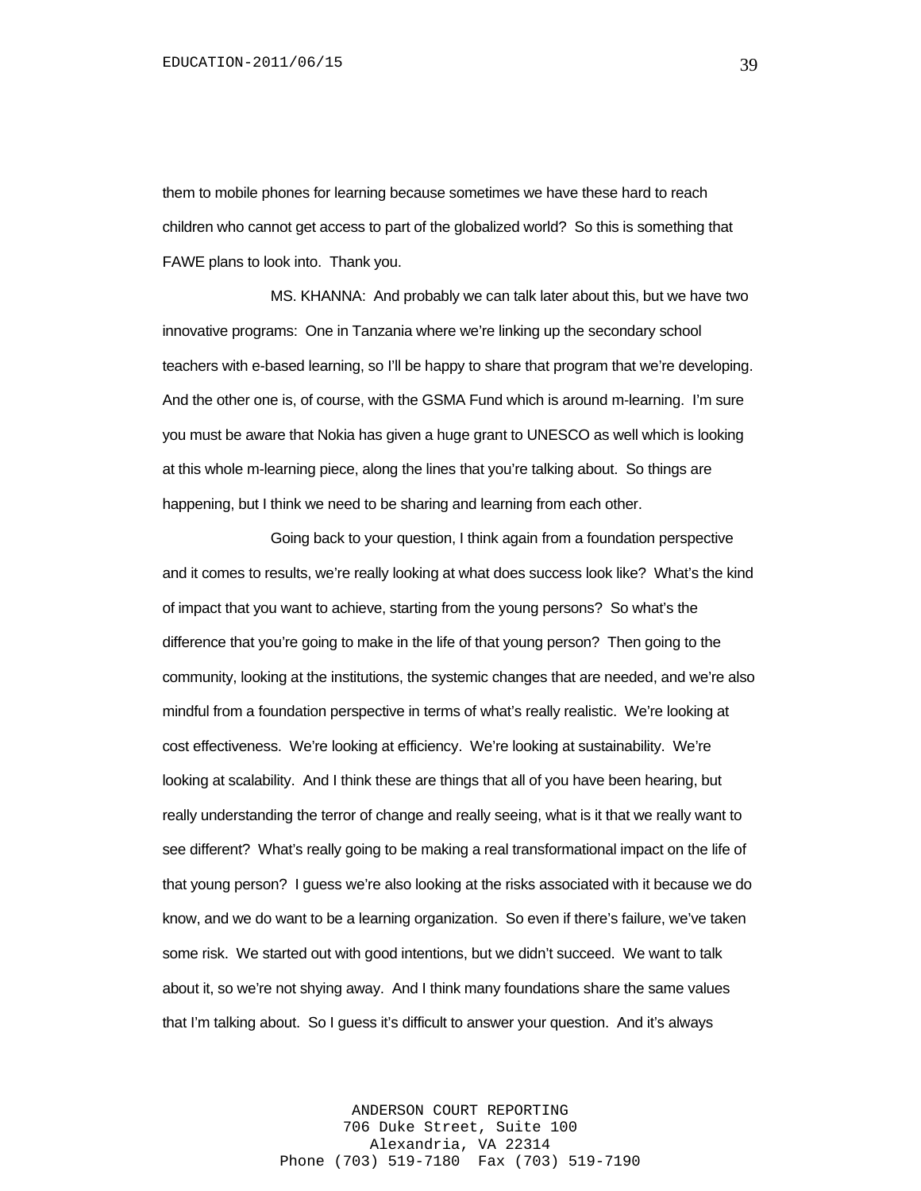them to mobile phones for learning because sometimes we have these hard to reach children who cannot get access to part of the globalized world? So this is something that FAWE plans to look into. Thank you.

MS. KHANNA: And probably we can talk later about this, but we have two innovative programs: One in Tanzania where we're linking up the secondary school teachers with e-based learning, so I'll be happy to share that program that we're developing. And the other one is, of course, with the GSMA Fund which is around m-learning. I'm sure you must be aware that Nokia has given a huge grant to UNESCO as well which is looking at this whole m-learning piece, along the lines that you're talking about. So things are happening, but I think we need to be sharing and learning from each other.

Going back to your question, I think again from a foundation perspective and it comes to results, we're really looking at what does success look like? What's the kind of impact that you want to achieve, starting from the young persons? So what's the difference that you're going to make in the life of that young person? Then going to the community, looking at the institutions, the systemic changes that are needed, and we're also mindful from a foundation perspective in terms of what's really realistic. We're looking at cost effectiveness. We're looking at efficiency. We're looking at sustainability. We're looking at scalability. And I think these are things that all of you have been hearing, but really understanding the terror of change and really seeing, what is it that we really want to see different? What's really going to be making a real transformational impact on the life of that young person? I guess we're also looking at the risks associated with it because we do know, and we do want to be a learning organization. So even if there's failure, we've taken some risk. We started out with good intentions, but we didn't succeed. We want to talk about it, so we're not shying away. And I think many foundations share the same values that I'm talking about. So I guess it's difficult to answer your question. And it's always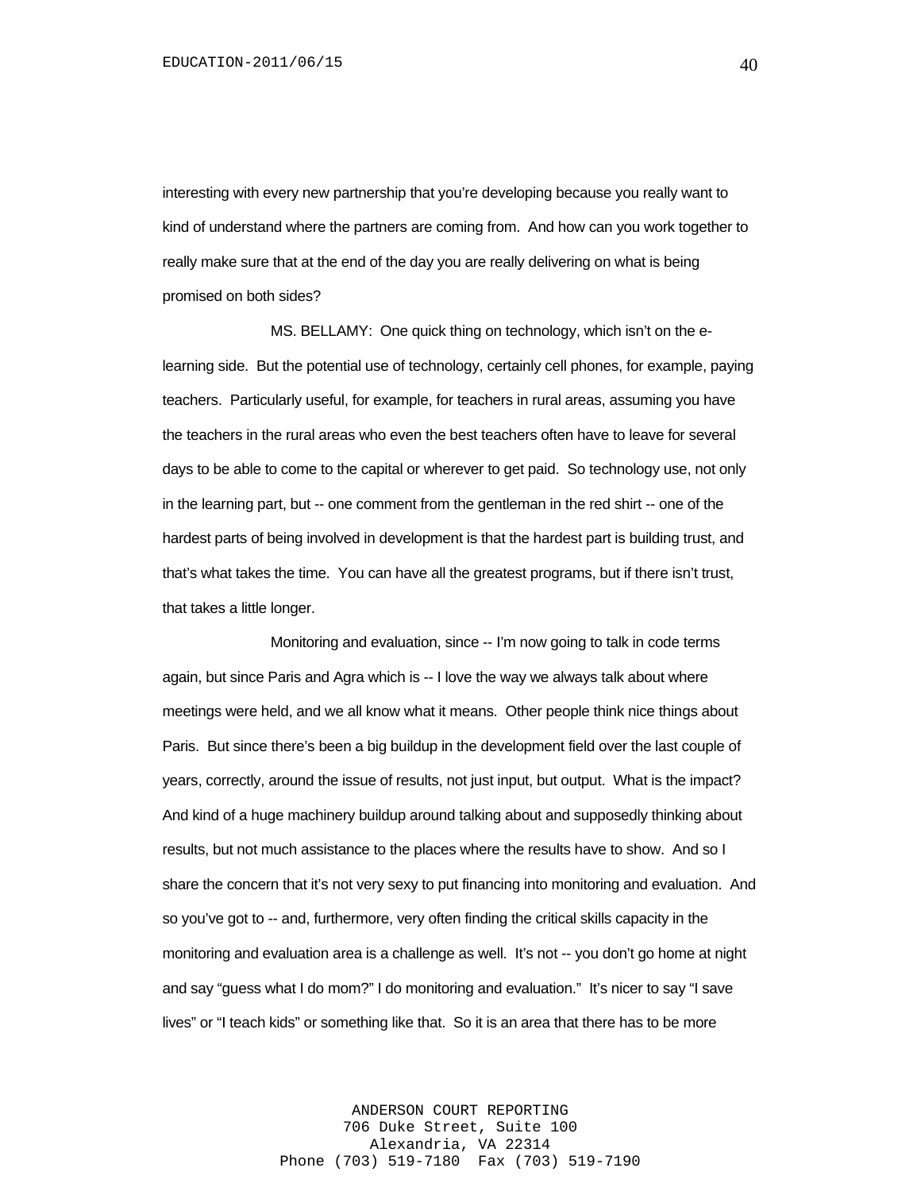interesting with every new partnership that you're developing because you really want to kind of understand where the partners are coming from. And how can you work together to really make sure that at the end of the day you are really delivering on what is being promised on both sides?

MS. BELLAMY: One quick thing on technology, which isn't on the elearning side. But the potential use of technology, certainly cell phones, for example, paying teachers. Particularly useful, for example, for teachers in rural areas, assuming you have the teachers in the rural areas who even the best teachers often have to leave for several days to be able to come to the capital or wherever to get paid. So technology use, not only in the learning part, but -- one comment from the gentleman in the red shirt -- one of the hardest parts of being involved in development is that the hardest part is building trust, and that's what takes the time. You can have all the greatest programs, but if there isn't trust, that takes a little longer.

Monitoring and evaluation, since -- I'm now going to talk in code terms again, but since Paris and Agra which is -- I love the way we always talk about where meetings were held, and we all know what it means. Other people think nice things about Paris. But since there's been a big buildup in the development field over the last couple of years, correctly, around the issue of results, not just input, but output. What is the impact? And kind of a huge machinery buildup around talking about and supposedly thinking about results, but not much assistance to the places where the results have to show. And so I share the concern that it's not very sexy to put financing into monitoring and evaluation. And so you've got to -- and, furthermore, very often finding the critical skills capacity in the monitoring and evaluation area is a challenge as well. It's not -- you don't go home at night and say "guess what I do mom?" I do monitoring and evaluation." It's nicer to say "I save lives" or "I teach kids" or something like that. So it is an area that there has to be more

> ANDERSON COURT REPORTING 706 Duke Street, Suite 100 Alexandria, VA 22314 Phone (703) 519-7180 Fax (703) 519-7190

40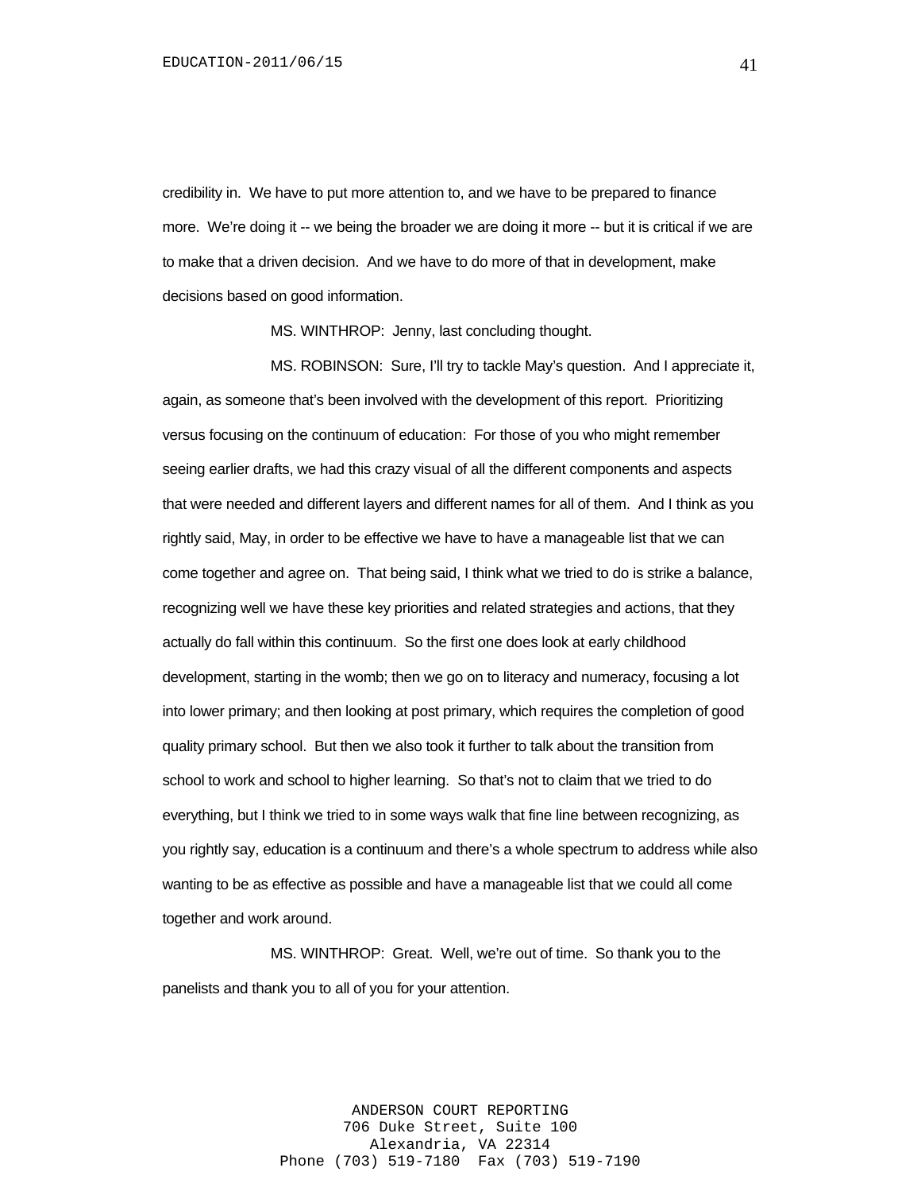credibility in. We have to put more attention to, and we have to be prepared to finance more. We're doing it -- we being the broader we are doing it more -- but it is critical if we are to make that a driven decision. And we have to do more of that in development, make decisions based on good information.

MS. WINTHROP: Jenny, last concluding thought.

MS. ROBINSON: Sure, I'll try to tackle May's question. And I appreciate it, again, as someone that's been involved with the development of this report. Prioritizing versus focusing on the continuum of education: For those of you who might remember seeing earlier drafts, we had this crazy visual of all the different components and aspects that were needed and different layers and different names for all of them. And I think as you rightly said, May, in order to be effective we have to have a manageable list that we can come together and agree on. That being said, I think what we tried to do is strike a balance, recognizing well we have these key priorities and related strategies and actions, that they actually do fall within this continuum. So the first one does look at early childhood development, starting in the womb; then we go on to literacy and numeracy, focusing a lot into lower primary; and then looking at post primary, which requires the completion of good quality primary school. But then we also took it further to talk about the transition from school to work and school to higher learning. So that's not to claim that we tried to do everything, but I think we tried to in some ways walk that fine line between recognizing, as you rightly say, education is a continuum and there's a whole spectrum to address while also wanting to be as effective as possible and have a manageable list that we could all come together and work around.

MS. WINTHROP: Great. Well, we're out of time. So thank you to the panelists and thank you to all of you for your attention.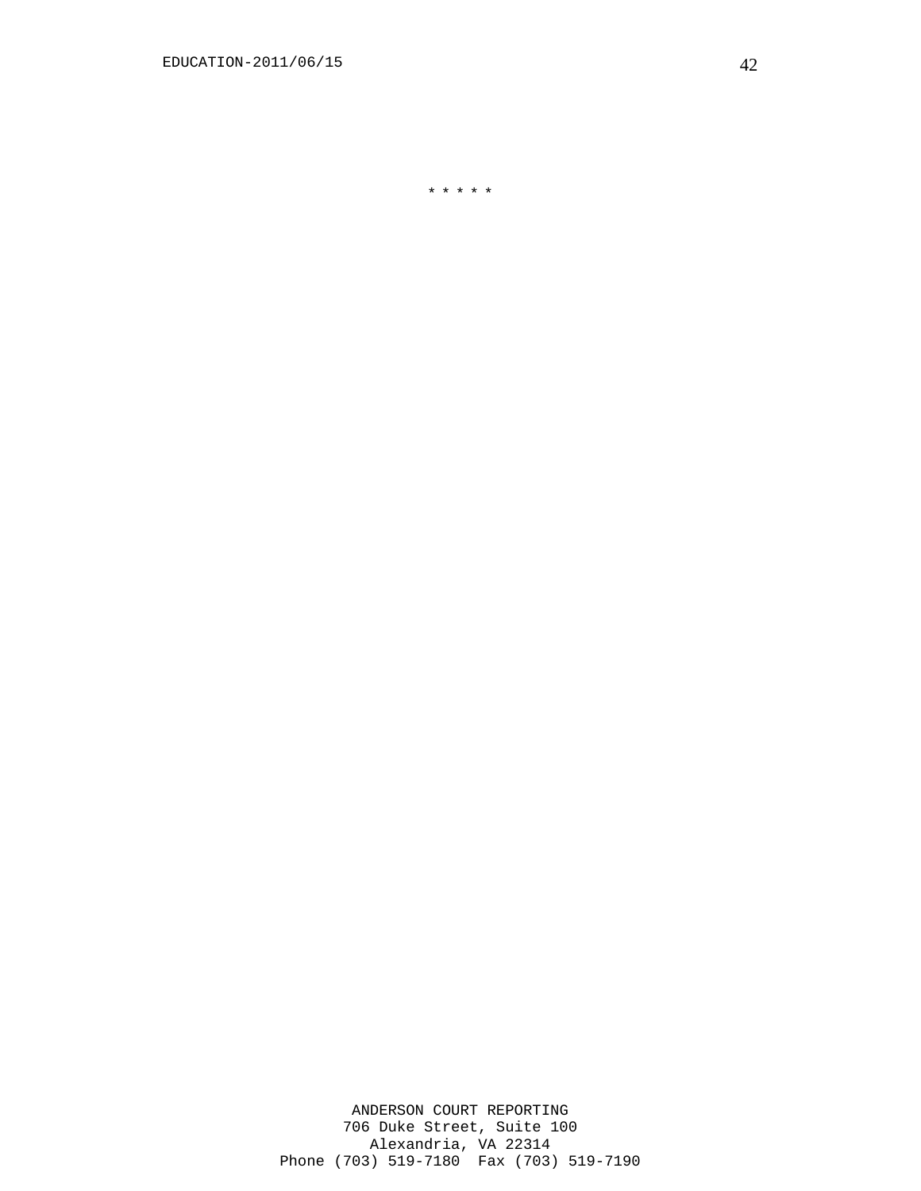\* \* \* \* \*